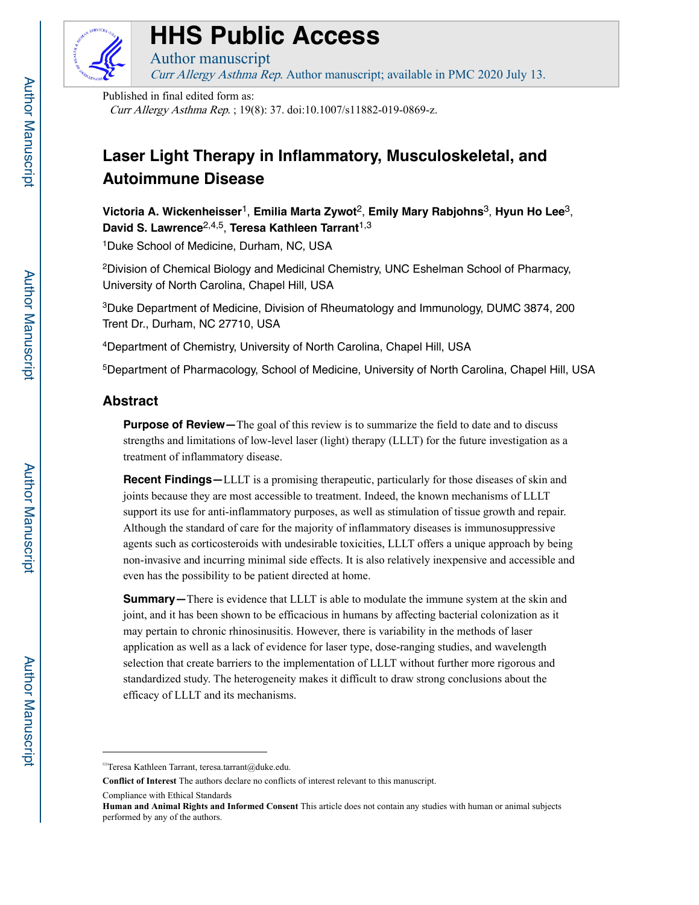

# **HHS Public Access**

Curr Allergy Asthma Rep. Author manuscript; available in PMC 2020 July 13.

Published in final edited form as:

Author manuscript

Curr Allergy Asthma Rep. ; 19(8): 37. doi:10.1007/s11882-019-0869-z.

## **Laser Light Therapy in Inflammatory, Musculoskeletal, and Autoimmune Disease**

**Victoria A. Wickenheisser**1, **Emilia Marta Zywot**2, **Emily Mary Rabjohns**3, **Hyun Ho Lee**3, **David S. Lawrence**2,4,5, **Teresa Kathleen Tarrant**1,3

1Duke School of Medicine, Durham, NC, USA

2Division of Chemical Biology and Medicinal Chemistry, UNC Eshelman School of Pharmacy, University of North Carolina, Chapel Hill, USA

3Duke Department of Medicine, Division of Rheumatology and Immunology, DUMC 3874, 200 Trent Dr., Durham, NC 27710, USA

4Department of Chemistry, University of North Carolina, Chapel Hill, USA

5Department of Pharmacology, School of Medicine, University of North Carolina, Chapel Hill, USA

## **Abstract**

**Purpose of Review**—The goal of this review is to summarize the field to date and to discuss strengths and limitations of low-level laser (light) therapy (LLLT) for the future investigation as a treatment of inflammatory disease.

**Recent Findings**—LLLT is a promising therapeutic, particularly for those diseases of skin and joints because they are most accessible to treatment. Indeed, the known mechanisms of LLLT support its use for anti-inflammatory purposes, as well as stimulation of tissue growth and repair. Although the standard of care for the majority of inflammatory diseases is immunosuppressive agents such as corticosteroids with undesirable toxicities, LLLT offers a unique approach by being non-invasive and incurring minimal side effects. It is also relatively inexpensive and accessible and even has the possibility to be patient directed at home.

**Summary—**There is evidence that LLLT is able to modulate the immune system at the skin and joint, and it has been shown to be efficacious in humans by affecting bacterial colonization as it may pertain to chronic rhinosinusitis. However, there is variability in the methods of laser application as well as a lack of evidence for laser type, dose-ranging studies, and wavelength selection that create barriers to the implementation of LLLT without further more rigorous and standardized study. The heterogeneity makes it difficult to draw strong conclusions about the efficacy of LLLT and its mechanisms.

<sup>✉</sup>Teresa Kathleen Tarrant, teresa.tarrant@duke.edu.

**Conflict of Interest** The authors declare no conflicts of interest relevant to this manuscript.

Compliance with Ethical Standards

**Human and Animal Rights and Informed Consent** This article does not contain any studies with human or animal subjects performed by any of the authors.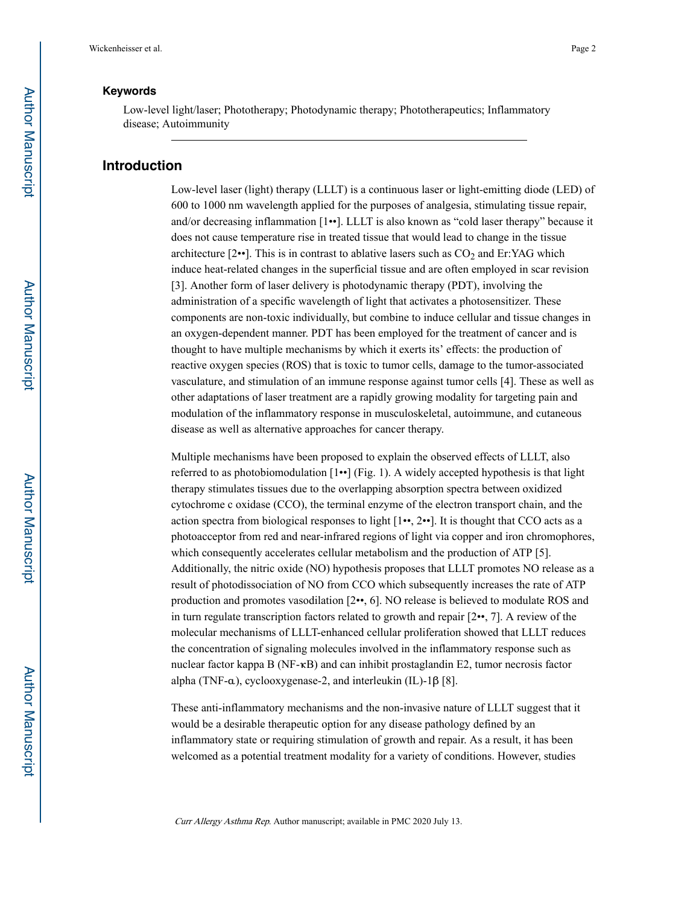## **Keywords**

Low-level light/laser; Phototherapy; Photodynamic therapy; Phototherapeutics; Inflammatory disease; Autoimmunity

## **Introduction**

Low-level laser (light) therapy (LLLT) is a continuous laser or light-emitting diode (LED) of 600 to 1000 nm wavelength applied for the purposes of analgesia, stimulating tissue repair, and/or decreasing inflammation [1••]. LLLT is also known as "cold laser therapy" because it does not cause temperature rise in treated tissue that would lead to change in the tissue architecture  $[2\bullet]$ . This is in contrast to ablative lasers such as  $CO<sub>2</sub>$  and Er:YAG which induce heat-related changes in the superficial tissue and are often employed in scar revision [3]. Another form of laser delivery is photodynamic therapy (PDT), involving the administration of a specific wavelength of light that activates a photosensitizer. These components are non-toxic individually, but combine to induce cellular and tissue changes in an oxygen-dependent manner. PDT has been employed for the treatment of cancer and is thought to have multiple mechanisms by which it exerts its' effects: the production of reactive oxygen species (ROS) that is toxic to tumor cells, damage to the tumor-associated vasculature, and stimulation of an immune response against tumor cells [4]. These as well as other adaptations of laser treatment are a rapidly growing modality for targeting pain and modulation of the inflammatory response in musculoskeletal, autoimmune, and cutaneous disease as well as alternative approaches for cancer therapy.

Multiple mechanisms have been proposed to explain the observed effects of LLLT, also referred to as photobiomodulation  $[1\bullet]$  (Fig. 1). A widely accepted hypothesis is that light therapy stimulates tissues due to the overlapping absorption spectra between oxidized cytochrome c oxidase (CCO), the terminal enzyme of the electron transport chain, and the action spectra from biological responses to light  $[1\bullet, 2\bullet]$ . It is thought that CCO acts as a photoacceptor from red and near-infrared regions of light via copper and iron chromophores, which consequently accelerates cellular metabolism and the production of ATP [5]. Additionally, the nitric oxide (NO) hypothesis proposes that LLLT promotes NO release as a result of photodissociation of NO from CCO which subsequently increases the rate of ATP production and promotes vasodilation [2••, 6]. NO release is believed to modulate ROS and in turn regulate transcription factors related to growth and repair  $[2\bullet, 7]$ . A review of the molecular mechanisms of LLLT-enhanced cellular proliferation showed that LLLT reduces the concentration of signaling molecules involved in the inflammatory response such as nuclear factor kappa B (NF-κB) and can inhibit prostaglandin E2, tumor necrosis factor alpha (TNF-α), cyclooxygenase-2, and interleukin (IL)-1β [8].

These anti-inflammatory mechanisms and the non-invasive nature of LLLT suggest that it would be a desirable therapeutic option for any disease pathology defined by an inflammatory state or requiring stimulation of growth and repair. As a result, it has been welcomed as a potential treatment modality for a variety of conditions. However, studies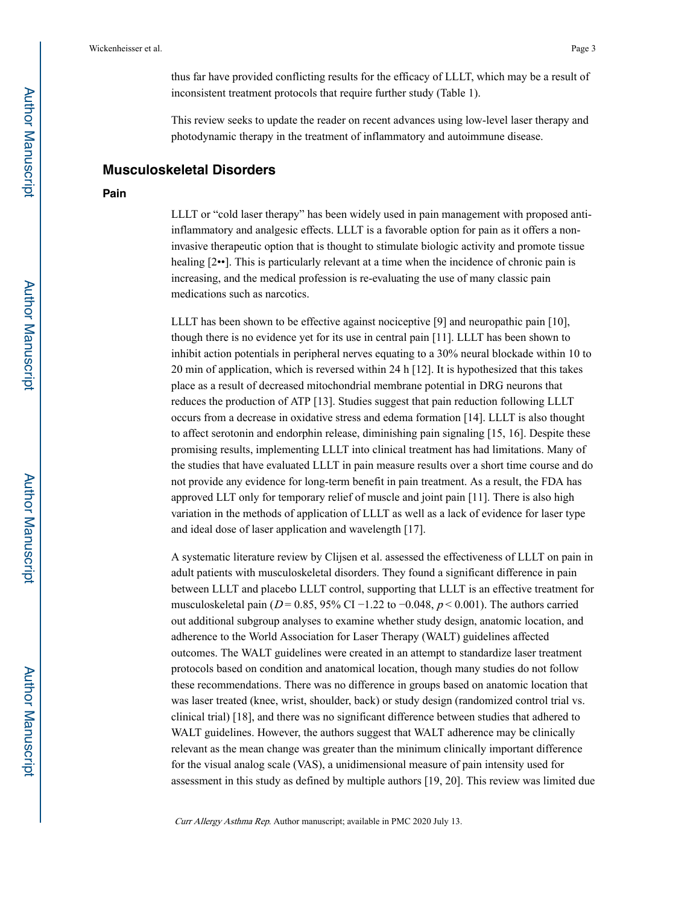thus far have provided conflicting results for the efficacy of LLLT, which may be a result of inconsistent treatment protocols that require further study (Table 1).

This review seeks to update the reader on recent advances using low-level laser therapy and photodynamic therapy in the treatment of inflammatory and autoimmune disease.

#### **Musculoskeletal Disorders**

#### **Pain**

LLLT or "cold laser therapy" has been widely used in pain management with proposed antiinflammatory and analgesic effects. LLLT is a favorable option for pain as it offers a noninvasive therapeutic option that is thought to stimulate biologic activity and promote tissue healing  $[2\bullet\bullet]$ . This is particularly relevant at a time when the incidence of chronic pain is increasing, and the medical profession is re-evaluating the use of many classic pain medications such as narcotics.

LLLT has been shown to be effective against nociceptive [9] and neuropathic pain [10], though there is no evidence yet for its use in central pain [11]. LLLT has been shown to inhibit action potentials in peripheral nerves equating to a 30% neural blockade within 10 to 20 min of application, which is reversed within 24 h [12]. It is hypothesized that this takes place as a result of decreased mitochondrial membrane potential in DRG neurons that reduces the production of ATP [13]. Studies suggest that pain reduction following LLLT occurs from a decrease in oxidative stress and edema formation [14]. LLLT is also thought to affect serotonin and endorphin release, diminishing pain signaling [15, 16]. Despite these promising results, implementing LLLT into clinical treatment has had limitations. Many of the studies that have evaluated LLLT in pain measure results over a short time course and do not provide any evidence for long-term benefit in pain treatment. As a result, the FDA has approved LLT only for temporary relief of muscle and joint pain [11]. There is also high variation in the methods of application of LLLT as well as a lack of evidence for laser type and ideal dose of laser application and wavelength [17].

A systematic literature review by Clijsen et al. assessed the effectiveness of LLLT on pain in adult patients with musculoskeletal disorders. They found a significant difference in pain between LLLT and placebo LLLT control, supporting that LLLT is an effective treatment for musculoskeletal pain ( $D = 0.85$ , 95% CI −1.22 to −0.048,  $p < 0.001$ ). The authors carried out additional subgroup analyses to examine whether study design, anatomic location, and adherence to the World Association for Laser Therapy (WALT) guidelines affected outcomes. The WALT guidelines were created in an attempt to standardize laser treatment protocols based on condition and anatomical location, though many studies do not follow these recommendations. There was no difference in groups based on anatomic location that was laser treated (knee, wrist, shoulder, back) or study design (randomized control trial vs. clinical trial) [18], and there was no significant difference between studies that adhered to WALT guidelines. However, the authors suggest that WALT adherence may be clinically relevant as the mean change was greater than the minimum clinically important difference for the visual analog scale (VAS), a unidimensional measure of pain intensity used for assessment in this study as defined by multiple authors [19, 20]. This review was limited due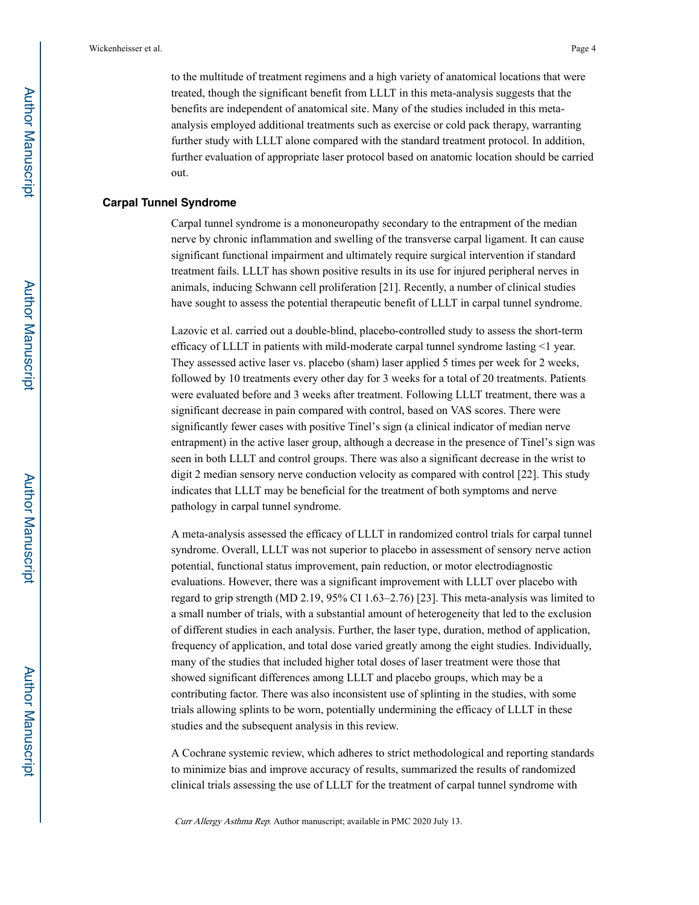to the multitude of treatment regimens and a high variety of anatomical locations that were treated, though the significant benefit from LLLT in this meta-analysis suggests that the benefits are independent of anatomical site. Many of the studies included in this metaanalysis employed additional treatments such as exercise or cold pack therapy, warranting further study with LLLT alone compared with the standard treatment protocol. In addition, further evaluation of appropriate laser protocol based on anatomic location should be carried out.

#### **Carpal Tunnel Syndrome**

Carpal tunnel syndrome is a mononeuropathy secondary to the entrapment of the median nerve by chronic inflammation and swelling of the transverse carpal ligament. It can cause significant functional impairment and ultimately require surgical intervention if standard treatment fails. LLLT has shown positive results in its use for injured peripheral nerves in animals, inducing Schwann cell proliferation [21]. Recently, a number of clinical studies have sought to assess the potential therapeutic benefit of LLLT in carpal tunnel syndrome.

Lazovic et al. carried out a double-blind, placebo-controlled study to assess the short-term efficacy of LLLT in patients with mild-moderate carpal tunnel syndrome lasting <1 year. They assessed active laser vs. placebo (sham) laser applied 5 times per week for 2 weeks, followed by 10 treatments every other day for 3 weeks for a total of 20 treatments. Patients were evaluated before and 3 weeks after treatment. Following LLLT treatment, there was a significant decrease in pain compared with control, based on VAS scores. There were significantly fewer cases with positive Tinel's sign (a clinical indicator of median nerve entrapment) in the active laser group, although a decrease in the presence of Tinel's sign was seen in both LLLT and control groups. There was also a significant decrease in the wrist to digit 2 median sensory nerve conduction velocity as compared with control [22]. This study indicates that LLLT may be beneficial for the treatment of both symptoms and nerve pathology in carpal tunnel syndrome.

A meta-analysis assessed the efficacy of LLLT in randomized control trials for carpal tunnel syndrome. Overall, LLLT was not superior to placebo in assessment of sensory nerve action potential, functional status improvement, pain reduction, or motor electrodiagnostic evaluations. However, there was a significant improvement with LLLT over placebo with regard to grip strength (MD 2.19, 95% CI 1.63–2.76) [23]. This meta-analysis was limited to a small number of trials, with a substantial amount of heterogeneity that led to the exclusion of different studies in each analysis. Further, the laser type, duration, method of application, frequency of application, and total dose varied greatly among the eight studies. Individually, many of the studies that included higher total doses of laser treatment were those that showed significant differences among LLLT and placebo groups, which may be a contributing factor. There was also inconsistent use of splinting in the studies, with some trials allowing splints to be worn, potentially undermining the efficacy of LLLT in these studies and the subsequent analysis in this review.

A Cochrane systemic review, which adheres to strict methodological and reporting standards to minimize bias and improve accuracy of results, summarized the results of randomized clinical trials assessing the use of LLLT for the treatment of carpal tunnel syndrome with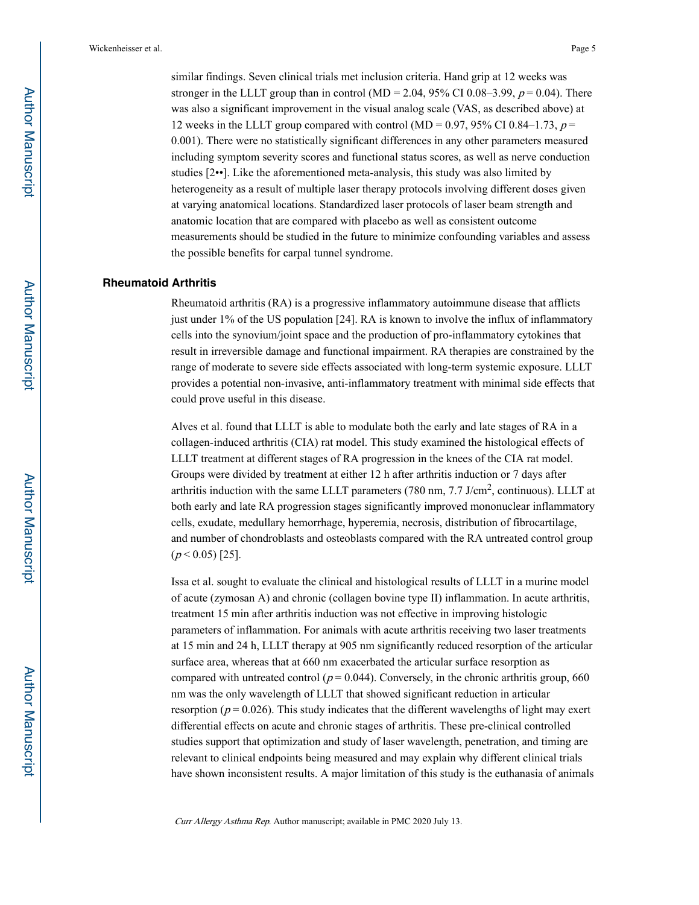similar findings. Seven clinical trials met inclusion criteria. Hand grip at 12 weeks was stronger in the LLLT group than in control (MD = 2.04, 95% CI 0.08–3.99,  $p = 0.04$ ). There was also a significant improvement in the visual analog scale (VAS, as described above) at 12 weeks in the LLLT group compared with control (MD =  $0.97$ , 95% CI 0.84–1.73,  $p =$ 0.001). There were no statistically significant differences in any other parameters measured including symptom severity scores and functional status scores, as well as nerve conduction studies [2••]. Like the aforementioned meta-analysis, this study was also limited by heterogeneity as a result of multiple laser therapy protocols involving different doses given at varying anatomical locations. Standardized laser protocols of laser beam strength and anatomic location that are compared with placebo as well as consistent outcome measurements should be studied in the future to minimize confounding variables and assess the possible benefits for carpal tunnel syndrome.

#### **Rheumatoid Arthritis**

Rheumatoid arthritis (RA) is a progressive inflammatory autoimmune disease that afflicts just under 1% of the US population [24]. RA is known to involve the influx of inflammatory cells into the synovium/joint space and the production of pro-inflammatory cytokines that result in irreversible damage and functional impairment. RA therapies are constrained by the range of moderate to severe side effects associated with long-term systemic exposure. LLLT provides a potential non-invasive, anti-inflammatory treatment with minimal side effects that could prove useful in this disease.

Alves et al. found that LLLT is able to modulate both the early and late stages of RA in a collagen-induced arthritis (CIA) rat model. This study examined the histological effects of LLLT treatment at different stages of RA progression in the knees of the CIA rat model. Groups were divided by treatment at either 12 h after arthritis induction or 7 days after arthritis induction with the same LLLT parameters (780 nm,  $7.7 \text{ J/cm}^2$ , continuous). LLLT at both early and late RA progression stages significantly improved mononuclear inflammatory cells, exudate, medullary hemorrhage, hyperemia, necrosis, distribution of fibrocartilage, and number of chondroblasts and osteoblasts compared with the RA untreated control group  $(p < 0.05)$  [25].

Issa et al. sought to evaluate the clinical and histological results of LLLT in a murine model of acute (zymosan A) and chronic (collagen bovine type II) inflammation. In acute arthritis, treatment 15 min after arthritis induction was not effective in improving histologic parameters of inflammation. For animals with acute arthritis receiving two laser treatments at 15 min and 24 h, LLLT therapy at 905 nm significantly reduced resorption of the articular surface area, whereas that at 660 nm exacerbated the articular surface resorption as compared with untreated control ( $p = 0.044$ ). Conversely, in the chronic arthritis group, 660 nm was the only wavelength of LLLT that showed significant reduction in articular resorption ( $p = 0.026$ ). This study indicates that the different wavelengths of light may exert differential effects on acute and chronic stages of arthritis. These pre-clinical controlled studies support that optimization and study of laser wavelength, penetration, and timing are relevant to clinical endpoints being measured and may explain why different clinical trials have shown inconsistent results. A major limitation of this study is the euthanasia of animals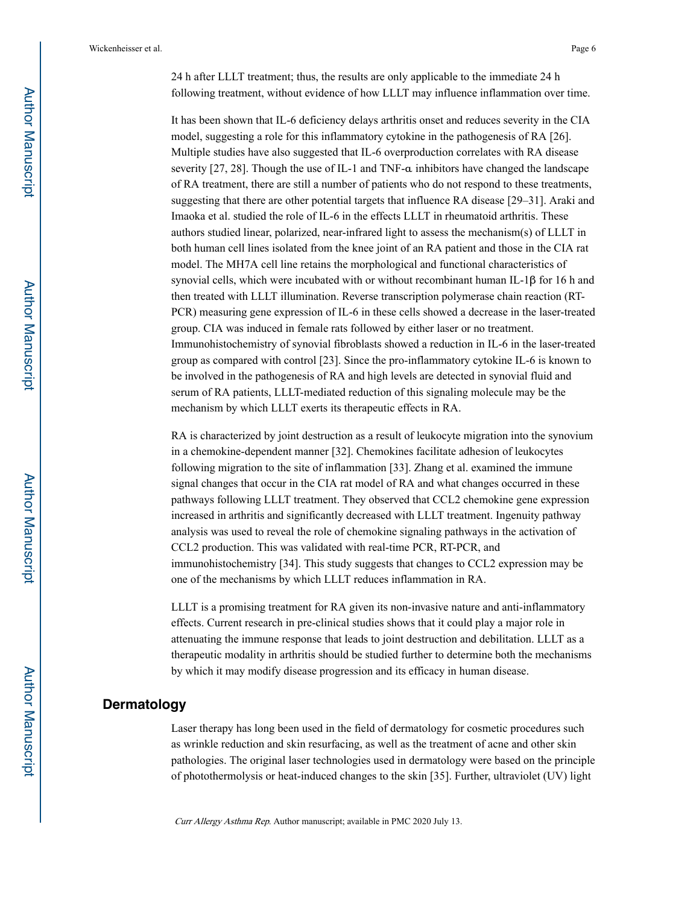24 h after LLLT treatment; thus, the results are only applicable to the immediate 24 h following treatment, without evidence of how LLLT may influence inflammation over time.

It has been shown that IL-6 deficiency delays arthritis onset and reduces severity in the CIA model, suggesting a role for this inflammatory cytokine in the pathogenesis of RA [26]. Multiple studies have also suggested that IL-6 overproduction correlates with RA disease severity [27, 28]. Though the use of IL-1 and TNF- $\alpha$  inhibitors have changed the landscape of RA treatment, there are still a number of patients who do not respond to these treatments, suggesting that there are other potential targets that influence RA disease [29–31]. Araki and Imaoka et al. studied the role of IL-6 in the effects LLLT in rheumatoid arthritis. These authors studied linear, polarized, near-infrared light to assess the mechanism(s) of LLLT in both human cell lines isolated from the knee joint of an RA patient and those in the CIA rat model. The MH7A cell line retains the morphological and functional characteristics of synovial cells, which were incubated with or without recombinant human IL-1β for 16 h and then treated with LLLT illumination. Reverse transcription polymerase chain reaction (RT-PCR) measuring gene expression of IL-6 in these cells showed a decrease in the laser-treated group. CIA was induced in female rats followed by either laser or no treatment. Immunohistochemistry of synovial fibroblasts showed a reduction in IL-6 in the laser-treated group as compared with control [23]. Since the pro-inflammatory cytokine IL-6 is known to be involved in the pathogenesis of RA and high levels are detected in synovial fluid and serum of RA patients, LLLT-mediated reduction of this signaling molecule may be the mechanism by which LLLT exerts its therapeutic effects in RA.

RA is characterized by joint destruction as a result of leukocyte migration into the synovium in a chemokine-dependent manner [32]. Chemokines facilitate adhesion of leukocytes following migration to the site of inflammation [33]. Zhang et al. examined the immune signal changes that occur in the CIA rat model of RA and what changes occurred in these pathways following LLLT treatment. They observed that CCL2 chemokine gene expression increased in arthritis and significantly decreased with LLLT treatment. Ingenuity pathway analysis was used to reveal the role of chemokine signaling pathways in the activation of CCL2 production. This was validated with real-time PCR, RT-PCR, and immunohistochemistry [34]. This study suggests that changes to CCL2 expression may be one of the mechanisms by which LLLT reduces inflammation in RA.

LLLT is a promising treatment for RA given its non-invasive nature and anti-inflammatory effects. Current research in pre-clinical studies shows that it could play a major role in attenuating the immune response that leads to joint destruction and debilitation. LLLT as a therapeutic modality in arthritis should be studied further to determine both the mechanisms by which it may modify disease progression and its efficacy in human disease.

## **Dermatology**

Laser therapy has long been used in the field of dermatology for cosmetic procedures such as wrinkle reduction and skin resurfacing, as well as the treatment of acne and other skin pathologies. The original laser technologies used in dermatology were based on the principle of photothermolysis or heat-induced changes to the skin [35]. Further, ultraviolet (UV) light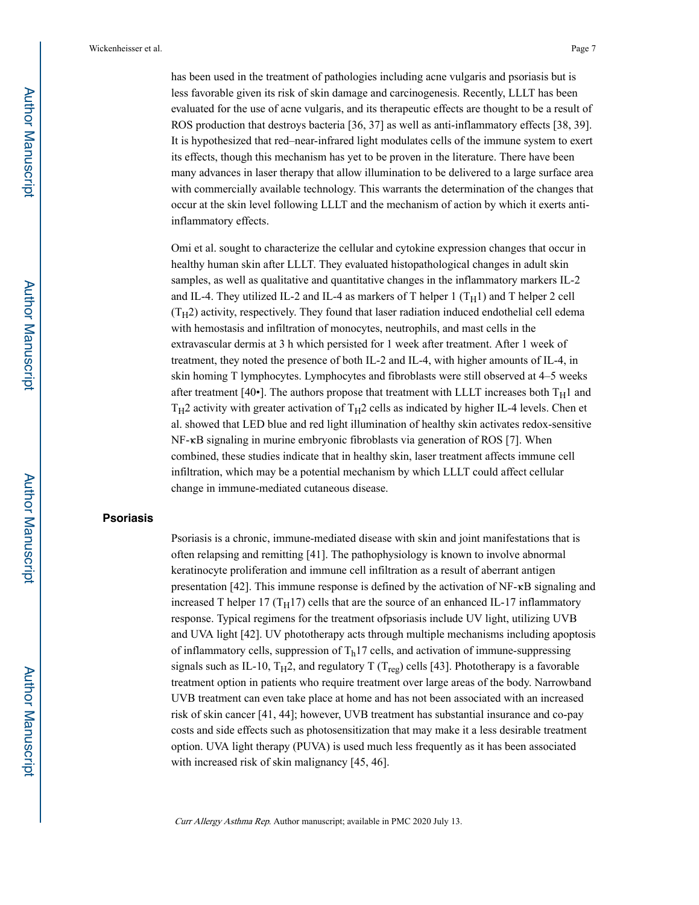has been used in the treatment of pathologies including acne vulgaris and psoriasis but is less favorable given its risk of skin damage and carcinogenesis. Recently, LLLT has been evaluated for the use of acne vulgaris, and its therapeutic effects are thought to be a result of ROS production that destroys bacteria [36, 37] as well as anti-inflammatory effects [38, 39]. It is hypothesized that red–near-infrared light modulates cells of the immune system to exert its effects, though this mechanism has yet to be proven in the literature. There have been many advances in laser therapy that allow illumination to be delivered to a large surface area with commercially available technology. This warrants the determination of the changes that occur at the skin level following LLLT and the mechanism of action by which it exerts antiinflammatory effects.

Omi et al. sought to characterize the cellular and cytokine expression changes that occur in healthy human skin after LLLT. They evaluated histopathological changes in adult skin samples, as well as qualitative and quantitative changes in the inflammatory markers IL-2 and IL-4. They utilized IL-2 and IL-4 as markers of T helper 1  $(T_H1)$  and T helper 2 cell  $(T<sub>H</sub>2)$  activity, respectively. They found that laser radiation induced endothelial cell edema with hemostasis and infiltration of monocytes, neutrophils, and mast cells in the extravascular dermis at 3 h which persisted for 1 week after treatment. After 1 week of treatment, they noted the presence of both IL-2 and IL-4, with higher amounts of IL-4, in skin homing T lymphocytes. Lymphocytes and fibroblasts were still observed at 4–5 weeks after treatment [40•]. The authors propose that treatment with LLLT increases both  $T_H1$  and  $T_H2$  activity with greater activation of  $T_H2$  cells as indicated by higher IL-4 levels. Chen et al. showed that LED blue and red light illumination of healthy skin activates redox-sensitive NF-κB signaling in murine embryonic fibroblasts via generation of ROS [7]. When combined, these studies indicate that in healthy skin, laser treatment affects immune cell infiltration, which may be a potential mechanism by which LLLT could affect cellular change in immune-mediated cutaneous disease.

## **Psoriasis**

Psoriasis is a chronic, immune-mediated disease with skin and joint manifestations that is often relapsing and remitting [41]. The pathophysiology is known to involve abnormal keratinocyte proliferation and immune cell infiltration as a result of aberrant antigen presentation [42]. This immune response is defined by the activation of  $NF-\kappa B$  signaling and increased T helper 17 ( $T_H$ 17) cells that are the source of an enhanced IL-17 inflammatory response. Typical regimens for the treatment ofpsoriasis include UV light, utilizing UVB and UVA light [42]. UV phototherapy acts through multiple mechanisms including apoptosis of inflammatory cells, suppression of  $T<sub>h</sub>17$  cells, and activation of immune-suppressing signals such as IL-10,  $T_H2$ , and regulatory T ( $T_{\text{reg}}$ ) cells [43]. Phototherapy is a favorable treatment option in patients who require treatment over large areas of the body. Narrowband UVB treatment can even take place at home and has not been associated with an increased risk of skin cancer [41, 44]; however, UVB treatment has substantial insurance and co-pay costs and side effects such as photosensitization that may make it a less desirable treatment option. UVA light therapy (PUVA) is used much less frequently as it has been associated with increased risk of skin malignancy [45, 46].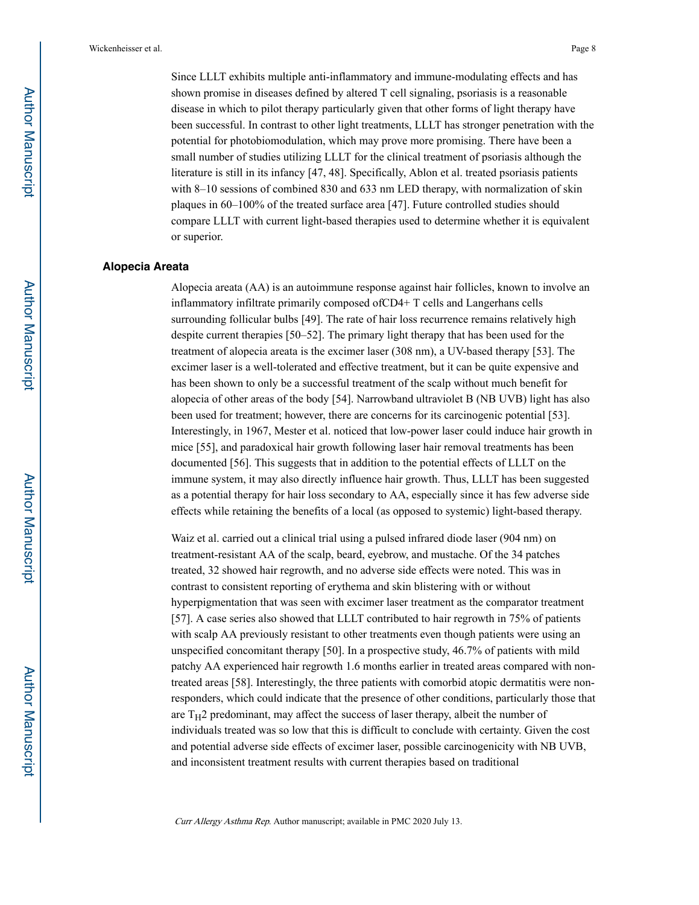Since LLLT exhibits multiple anti-inflammatory and immune-modulating effects and has shown promise in diseases defined by altered T cell signaling, psoriasis is a reasonable disease in which to pilot therapy particularly given that other forms of light therapy have been successful. In contrast to other light treatments, LLLT has stronger penetration with the potential for photobiomodulation, which may prove more promising. There have been a small number of studies utilizing LLLT for the clinical treatment of psoriasis although the literature is still in its infancy [47, 48]. Specifically, Ablon et al. treated psoriasis patients with 8–10 sessions of combined 830 and 633 nm LED therapy, with normalization of skin plaques in 60–100% of the treated surface area [47]. Future controlled studies should compare LLLT with current light-based therapies used to determine whether it is equivalent or superior.

#### **Alopecia Areata**

Alopecia areata (AA) is an autoimmune response against hair follicles, known to involve an inflammatory infiltrate primarily composed ofCD4+ T cells and Langerhans cells surrounding follicular bulbs [49]. The rate of hair loss recurrence remains relatively high despite current therapies [50–52]. The primary light therapy that has been used for the treatment of alopecia areata is the excimer laser (308 nm), a UV-based therapy [53]. The excimer laser is a well-tolerated and effective treatment, but it can be quite expensive and has been shown to only be a successful treatment of the scalp without much benefit for alopecia of other areas of the body [54]. Narrowband ultraviolet B (NB UVB) light has also been used for treatment; however, there are concerns for its carcinogenic potential [53]. Interestingly, in 1967, Mester et al. noticed that low-power laser could induce hair growth in mice [55], and paradoxical hair growth following laser hair removal treatments has been documented [56]. This suggests that in addition to the potential effects of LLLT on the immune system, it may also directly influence hair growth. Thus, LLLT has been suggested as a potential therapy for hair loss secondary to AA, especially since it has few adverse side effects while retaining the benefits of a local (as opposed to systemic) light-based therapy.

Waiz et al. carried out a clinical trial using a pulsed infrared diode laser (904 nm) on treatment-resistant AA of the scalp, beard, eyebrow, and mustache. Of the 34 patches treated, 32 showed hair regrowth, and no adverse side effects were noted. This was in contrast to consistent reporting of erythema and skin blistering with or without hyperpigmentation that was seen with excimer laser treatment as the comparator treatment [57]. A case series also showed that LLLT contributed to hair regrowth in 75% of patients with scalp AA previously resistant to other treatments even though patients were using an unspecified concomitant therapy [50]. In a prospective study, 46.7% of patients with mild patchy AA experienced hair regrowth 1.6 months earlier in treated areas compared with nontreated areas [58]. Interestingly, the three patients with comorbid atopic dermatitis were nonresponders, which could indicate that the presence of other conditions, particularly those that are  $T_H2$  predominant, may affect the success of laser therapy, albeit the number of individuals treated was so low that this is difficult to conclude with certainty. Given the cost and potential adverse side effects of excimer laser, possible carcinogenicity with NB UVB, and inconsistent treatment results with current therapies based on traditional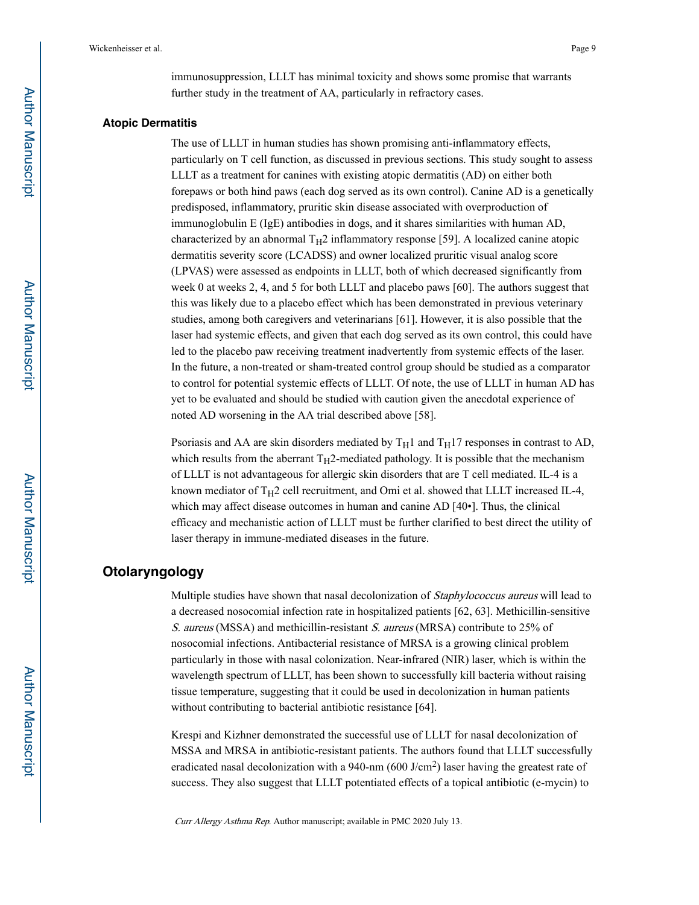immunosuppression, LLLT has minimal toxicity and shows some promise that warrants further study in the treatment of AA, particularly in refractory cases.

#### **Atopic Dermatitis**

The use of LLLT in human studies has shown promising anti-inflammatory effects, particularly on T cell function, as discussed in previous sections. This study sought to assess LLLT as a treatment for canines with existing atopic dermatitis (AD) on either both forepaws or both hind paws (each dog served as its own control). Canine AD is a genetically predisposed, inflammatory, pruritic skin disease associated with overproduction of immunoglobulin E (IgE) antibodies in dogs, and it shares similarities with human AD, characterized by an abnormal  $T_H2$  inflammatory response [59]. A localized canine atopic dermatitis severity score (LCADSS) and owner localized pruritic visual analog score (LPVAS) were assessed as endpoints in LLLT, both of which decreased significantly from week 0 at weeks 2, 4, and 5 for both LLLT and placebo paws [60]. The authors suggest that this was likely due to a placebo effect which has been demonstrated in previous veterinary studies, among both caregivers and veterinarians [61]. However, it is also possible that the laser had systemic effects, and given that each dog served as its own control, this could have led to the placebo paw receiving treatment inadvertently from systemic effects of the laser. In the future, a non-treated or sham-treated control group should be studied as a comparator to control for potential systemic effects of LLLT. Of note, the use of LLLT in human AD has yet to be evaluated and should be studied with caution given the anecdotal experience of noted AD worsening in the AA trial described above [58].

Psoriasis and AA are skin disorders mediated by  $T_H1$  and  $T_H17$  responses in contrast to AD, which results from the aberrant  $T_H$ 2-mediated pathology. It is possible that the mechanism of LLLT is not advantageous for allergic skin disorders that are T cell mediated. IL-4 is a known mediator of  $T_H2$  cell recruitment, and Omi et al. showed that LLLT increased IL-4, which may affect disease outcomes in human and canine AD [40•]. Thus, the clinical efficacy and mechanistic action of LLLT must be further clarified to best direct the utility of laser therapy in immune-mediated diseases in the future.

## **Otolaryngology**

Multiple studies have shown that nasal decolonization of Staphylococcus aureus will lead to a decreased nosocomial infection rate in hospitalized patients [62, 63]. Methicillin-sensitive S. aureus (MSSA) and methicillin-resistant S. aureus (MRSA) contribute to 25% of nosocomial infections. Antibacterial resistance of MRSA is a growing clinical problem particularly in those with nasal colonization. Near-infrared (NIR) laser, which is within the wavelength spectrum of LLLT, has been shown to successfully kill bacteria without raising tissue temperature, suggesting that it could be used in decolonization in human patients without contributing to bacterial antibiotic resistance [64].

Krespi and Kizhner demonstrated the successful use of LLLT for nasal decolonization of MSSA and MRSA in antibiotic-resistant patients. The authors found that LLLT successfully eradicated nasal decolonization with a 940-nm  $(600 \text{ J/cm}^2)$  laser having the greatest rate of success. They also suggest that LLLT potentiated effects of a topical antibiotic (e-mycin) to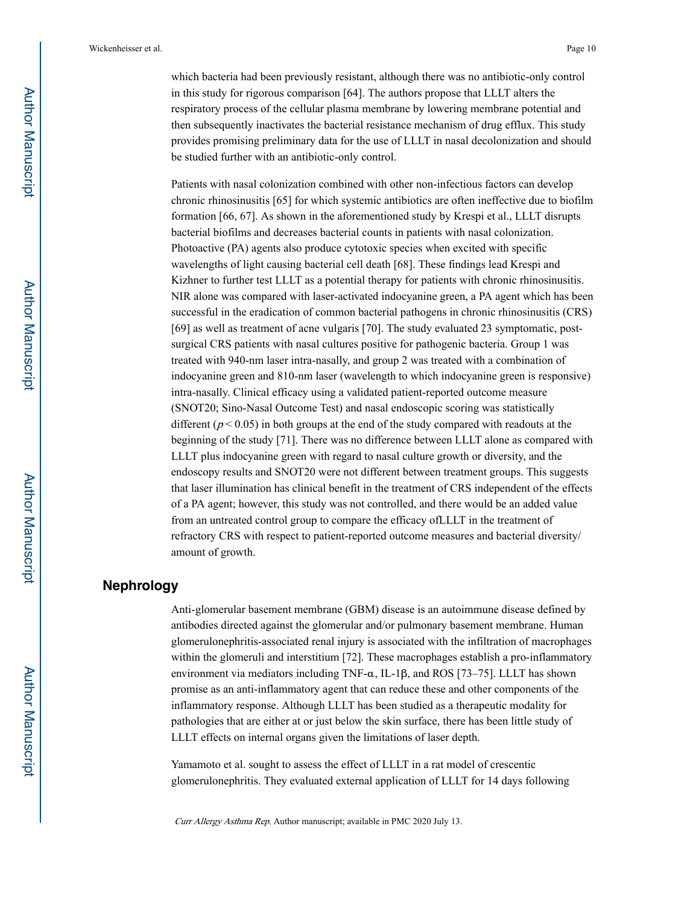which bacteria had been previously resistant, although there was no antibiotic-only control in this study for rigorous comparison [64]. The authors propose that LLLT alters the respiratory process of the cellular plasma membrane by lowering membrane potential and then subsequently inactivates the bacterial resistance mechanism of drug efflux. This study provides promising preliminary data for the use of LLLT in nasal decolonization and should be studied further with an antibiotic-only control.

Patients with nasal colonization combined with other non-infectious factors can develop chronic rhinosinusitis [65] for which systemic antibiotics are often ineffective due to biofilm formation [66, 67]. As shown in the aforementioned study by Krespi et al., LLLT disrupts bacterial biofilms and decreases bacterial counts in patients with nasal colonization. Photoactive (PA) agents also produce cytotoxic species when excited with specific wavelengths of light causing bacterial cell death [68]. These findings lead Krespi and Kizhner to further test LLLT as a potential therapy for patients with chronic rhinosinusitis. NIR alone was compared with laser-activated indocyanine green, a PA agent which has been successful in the eradication of common bacterial pathogens in chronic rhinosinusitis (CRS) [69] as well as treatment of acne vulgaris [70]. The study evaluated 23 symptomatic, postsurgical CRS patients with nasal cultures positive for pathogenic bacteria. Group 1 was treated with 940-nm laser intra-nasally, and group 2 was treated with a combination of indocyanine green and 810-nm laser (wavelength to which indocyanine green is responsive) intra-nasally. Clinical efficacy using a validated patient-reported outcome measure (SNOT20; Sino-Nasal Outcome Test) and nasal endoscopic scoring was statistically different ( $p < 0.05$ ) in both groups at the end of the study compared with readouts at the beginning of the study [71]. There was no difference between LLLT alone as compared with LLLT plus indocyanine green with regard to nasal culture growth or diversity, and the endoscopy results and SNOT20 were not different between treatment groups. This suggests that laser illumination has clinical benefit in the treatment of CRS independent of the effects of a PA agent; however, this study was not controlled, and there would be an added value from an untreated control group to compare the efficacy ofLLLT in the treatment of refractory CRS with respect to patient-reported outcome measures and bacterial diversity/ amount of growth.

## **Nephrology**

Anti-glomerular basement membrane (GBM) disease is an autoimmune disease defined by antibodies directed against the glomerular and/or pulmonary basement membrane. Human glomerulonephritis-associated renal injury is associated with the infiltration of macrophages within the glomeruli and interstitium [72]. These macrophages establish a pro-inflammatory environment via mediators including TNF-α, IL-1β, and ROS [73–75]. LLLT has shown promise as an anti-inflammatory agent that can reduce these and other components of the inflammatory response. Although LLLT has been studied as a therapeutic modality for pathologies that are either at or just below the skin surface, there has been little study of LLLT effects on internal organs given the limitations of laser depth.

Yamamoto et al. sought to assess the effect of LLLT in a rat model of crescentic glomerulonephritis. They evaluated external application of LLLT for 14 days following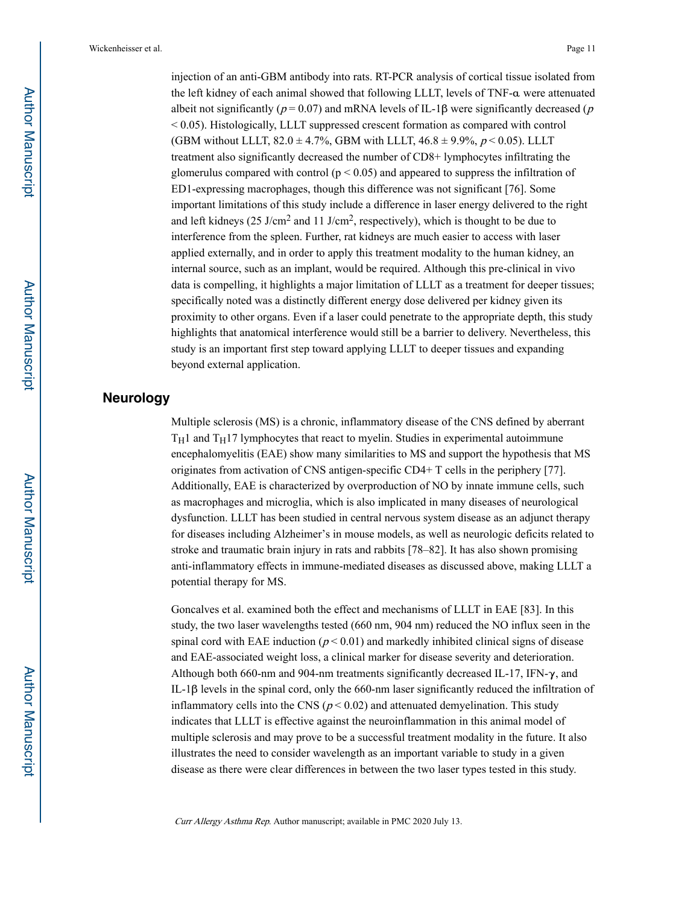injection of an anti-GBM antibody into rats. RT-PCR analysis of cortical tissue isolated from the left kidney of each animal showed that following LLLT, levels of TNF-α were attenuated albeit not significantly ( $p = 0.07$ ) and mRNA levels of IL-1 $\beta$  were significantly decreased (p < 0.05). Histologically, LLLT suppressed crescent formation as compared with control (GBM without LLLT,  $82.0 \pm 4.7\%$ , GBM with LLLT,  $46.8 \pm 9.9\%$ ,  $p < 0.05$ ). LLLT treatment also significantly decreased the number of CD8+ lymphocytes infiltrating the glomerulus compared with control ( $p < 0.05$ ) and appeared to suppress the infiltration of ED1-expressing macrophages, though this difference was not significant [76]. Some important limitations of this study include a difference in laser energy delivered to the right and left kidneys (25 J/cm<sup>2</sup> and 11 J/cm<sup>2</sup>, respectively), which is thought to be due to interference from the spleen. Further, rat kidneys are much easier to access with laser applied externally, and in order to apply this treatment modality to the human kidney, an internal source, such as an implant, would be required. Although this pre-clinical in vivo data is compelling, it highlights a major limitation of LLLT as a treatment for deeper tissues; specifically noted was a distinctly different energy dose delivered per kidney given its proximity to other organs. Even if a laser could penetrate to the appropriate depth, this study highlights that anatomical interference would still be a barrier to delivery. Nevertheless, this study is an important first step toward applying LLLT to deeper tissues and expanding beyond external application.

## **Neurology**

Multiple sclerosis (MS) is a chronic, inflammatory disease of the CNS defined by aberrant  $T_H1$  and  $T_H17$  lymphocytes that react to myelin. Studies in experimental autoimmune encephalomyelitis (EAE) show many similarities to MS and support the hypothesis that MS originates from activation of CNS antigen-specific CD4+ T cells in the periphery [77]. Additionally, EAE is characterized by overproduction of NO by innate immune cells, such as macrophages and microglia, which is also implicated in many diseases of neurological dysfunction. LLLT has been studied in central nervous system disease as an adjunct therapy for diseases including Alzheimer's in mouse models, as well as neurologic deficits related to stroke and traumatic brain injury in rats and rabbits [78–82]. It has also shown promising anti-inflammatory effects in immune-mediated diseases as discussed above, making LLLT a potential therapy for MS.

Goncalves et al. examined both the effect and mechanisms of LLLT in EAE [83]. In this study, the two laser wavelengths tested (660 nm, 904 nm) reduced the NO influx seen in the spinal cord with EAE induction ( $p < 0.01$ ) and markedly inhibited clinical signs of disease and EAE-associated weight loss, a clinical marker for disease severity and deterioration. Although both 660-nm and 904-nm treatments significantly decreased IL-17, IFN-γ, and IL-1β levels in the spinal cord, only the 660-nm laser significantly reduced the infiltration of inflammatory cells into the CNS ( $p < 0.02$ ) and attenuated demyelination. This study indicates that LLLT is effective against the neuroinflammation in this animal model of multiple sclerosis and may prove to be a successful treatment modality in the future. It also illustrates the need to consider wavelength as an important variable to study in a given disease as there were clear differences in between the two laser types tested in this study.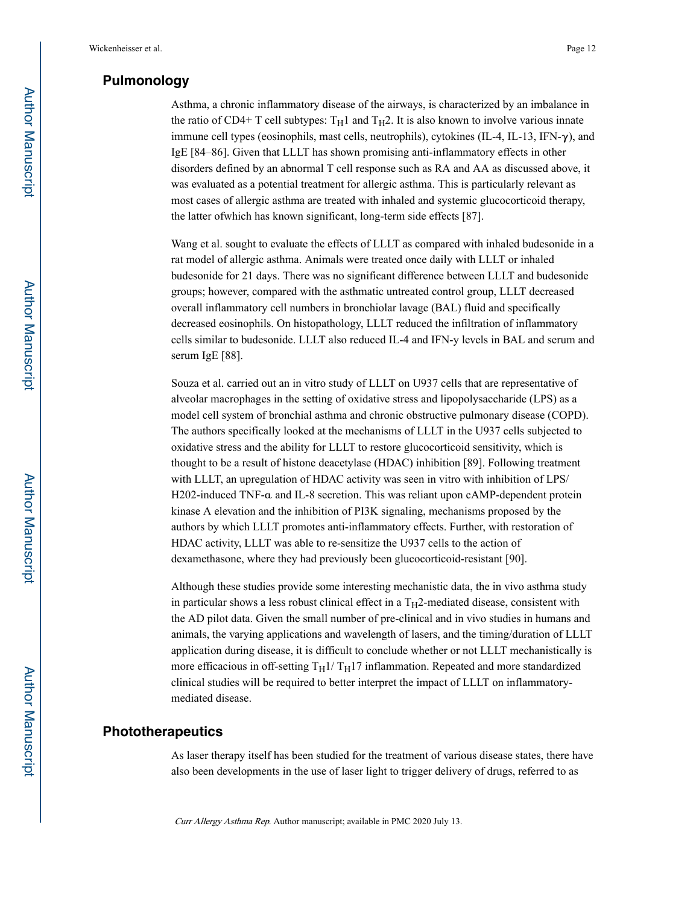## **Pulmonology**

Asthma, a chronic inflammatory disease of the airways, is characterized by an imbalance in the ratio of CD4+ T cell subtypes:  $T_H1$  and  $T_H2$ . It is also known to involve various innate immune cell types (eosinophils, mast cells, neutrophils), cytokines  $(IL-4, IL-13, IFN-\gamma)$ , and IgE [84–86]. Given that LLLT has shown promising anti-inflammatory effects in other disorders defined by an abnormal T cell response such as RA and AA as discussed above, it was evaluated as a potential treatment for allergic asthma. This is particularly relevant as most cases of allergic asthma are treated with inhaled and systemic glucocorticoid therapy, the latter ofwhich has known significant, long-term side effects [87].

Wang et al. sought to evaluate the effects of LLLT as compared with inhaled budesonide in a rat model of allergic asthma. Animals were treated once daily with LLLT or inhaled budesonide for 21 days. There was no significant difference between LLLT and budesonide groups; however, compared with the asthmatic untreated control group, LLLT decreased overall inflammatory cell numbers in bronchiolar lavage (BAL) fluid and specifically decreased eosinophils. On histopathology, LLLT reduced the infiltration of inflammatory cells similar to budesonide. LLLT also reduced IL-4 and IFN-y levels in BAL and serum and serum IgE [88].

Souza et al. carried out an in vitro study of LLLT on U937 cells that are representative of alveolar macrophages in the setting of oxidative stress and lipopolysaccharide (LPS) as a model cell system of bronchial asthma and chronic obstructive pulmonary disease (COPD). The authors specifically looked at the mechanisms of LLLT in the U937 cells subjected to oxidative stress and the ability for LLLT to restore glucocorticoid sensitivity, which is thought to be a result of histone deacetylase (HDAC) inhibition [89]. Following treatment with LLLT, an upregulation of HDAC activity was seen in vitro with inhibition of LPS/ H202-induced TNF-α and IL-8 secretion. This was reliant upon cAMP-dependent protein kinase A elevation and the inhibition of PI3K signaling, mechanisms proposed by the authors by which LLLT promotes anti-inflammatory effects. Further, with restoration of HDAC activity, LLLT was able to re-sensitize the U937 cells to the action of dexamethasone, where they had previously been glucocorticoid-resistant [90].

Although these studies provide some interesting mechanistic data, the in vivo asthma study in particular shows a less robust clinical effect in a  $T_H2$ -mediated disease, consistent with the AD pilot data. Given the small number of pre-clinical and in vivo studies in humans and animals, the varying applications and wavelength of lasers, and the timing/duration of LLLT application during disease, it is difficult to conclude whether or not LLLT mechanistically is more efficacious in off-setting  $T_H1/T_H17$  inflammation. Repeated and more standardized clinical studies will be required to better interpret the impact of LLLT on inflammatorymediated disease.

## **Phototherapeutics**

As laser therapy itself has been studied for the treatment of various disease states, there have also been developments in the use of laser light to trigger delivery of drugs, referred to as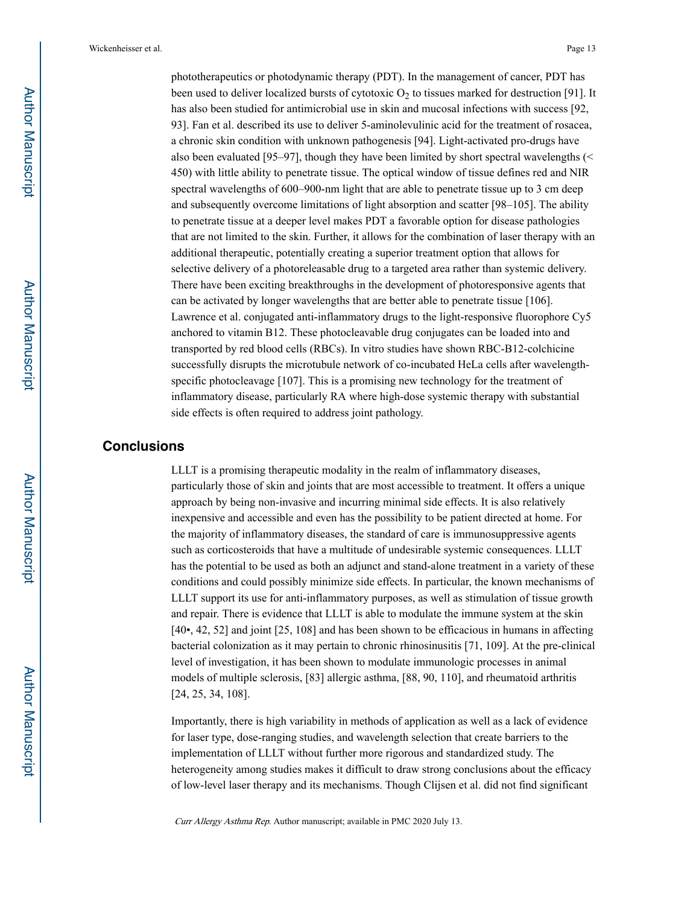phototherapeutics or photodynamic therapy (PDT). In the management of cancer, PDT has been used to deliver localized bursts of cytotoxic  $O_2$  to tissues marked for destruction [91]. It has also been studied for antimicrobial use in skin and mucosal infections with success [92, 93]. Fan et al. described its use to deliver 5-aminolevulinic acid for the treatment of rosacea, a chronic skin condition with unknown pathogenesis [94]. Light-activated pro-drugs have also been evaluated [95–97], though they have been limited by short spectral wavelengths  $($ 450) with little ability to penetrate tissue. The optical window of tissue defines red and NIR spectral wavelengths of 600–900-nm light that are able to penetrate tissue up to 3 cm deep and subsequently overcome limitations of light absorption and scatter [98–105]. The ability to penetrate tissue at a deeper level makes PDT a favorable option for disease pathologies that are not limited to the skin. Further, it allows for the combination of laser therapy with an additional therapeutic, potentially creating a superior treatment option that allows for selective delivery of a photoreleasable drug to a targeted area rather than systemic delivery. There have been exciting breakthroughs in the development of photoresponsive agents that can be activated by longer wavelengths that are better able to penetrate tissue [106]. Lawrence et al. conjugated anti-inflammatory drugs to the light-responsive fluorophore Cy5 anchored to vitamin B12. These photocleavable drug conjugates can be loaded into and transported by red blood cells (RBCs). In vitro studies have shown RBC-B12-colchicine successfully disrupts the microtubule network of co-incubated HeLa cells after wavelengthspecific photocleavage [107]. This is a promising new technology for the treatment of inflammatory disease, particularly RA where high-dose systemic therapy with substantial side effects is often required to address joint pathology.

## **Conclusions**

LLLT is a promising therapeutic modality in the realm of inflammatory diseases, particularly those of skin and joints that are most accessible to treatment. It offers a unique approach by being non-invasive and incurring minimal side effects. It is also relatively inexpensive and accessible and even has the possibility to be patient directed at home. For the majority of inflammatory diseases, the standard of care is immunosuppressive agents such as corticosteroids that have a multitude of undesirable systemic consequences. LLLT has the potential to be used as both an adjunct and stand-alone treatment in a variety of these conditions and could possibly minimize side effects. In particular, the known mechanisms of LLLT support its use for anti-inflammatory purposes, as well as stimulation of tissue growth and repair. There is evidence that LLLT is able to modulate the immune system at the skin [40•, 42, 52] and joint [25, 108] and has been shown to be efficacious in humans in affecting bacterial colonization as it may pertain to chronic rhinosinusitis [71, 109]. At the pre-clinical level of investigation, it has been shown to modulate immunologic processes in animal models of multiple sclerosis, [83] allergic asthma, [88, 90, 110], and rheumatoid arthritis [24, 25, 34, 108].

Importantly, there is high variability in methods of application as well as a lack of evidence for laser type, dose-ranging studies, and wavelength selection that create barriers to the implementation of LLLT without further more rigorous and standardized study. The heterogeneity among studies makes it difficult to draw strong conclusions about the efficacy of low-level laser therapy and its mechanisms. Though Clijsen et al. did not find significant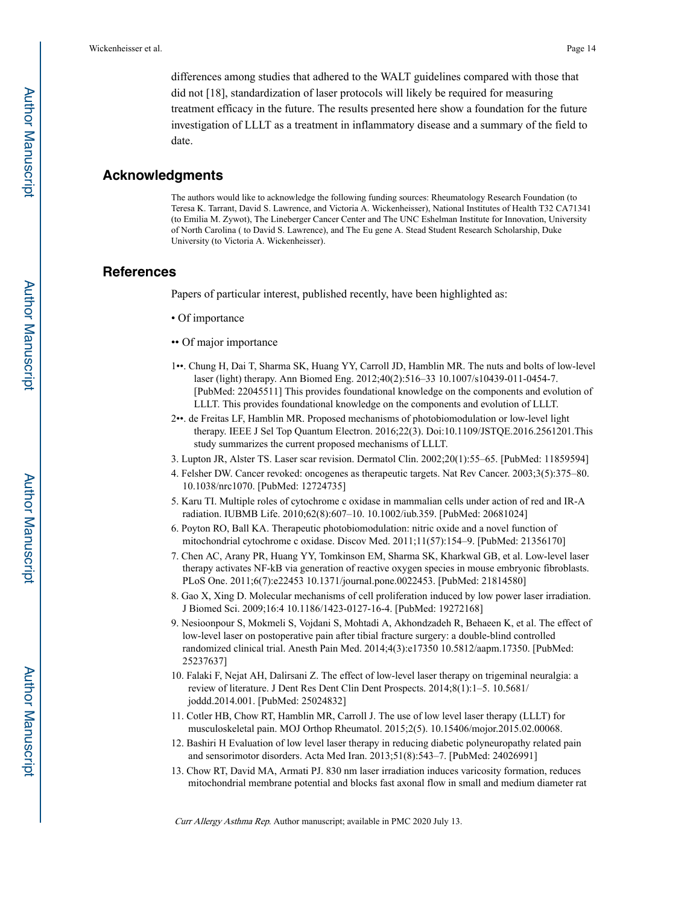differences among studies that adhered to the WALT guidelines compared with those that did not [18], standardization of laser protocols will likely be required for measuring treatment efficacy in the future. The results presented here show a foundation for the future investigation of LLLT as a treatment in inflammatory disease and a summary of the field to date.

#### **Acknowledgments**

The authors would like to acknowledge the following funding sources: Rheumatology Research Foundation (to Teresa K. Tarrant, David S. Lawrence, and Victoria A. Wickenheisser), National Institutes of Health T32 CA71341 (to Emilia M. Zywot), The Lineberger Cancer Center and The UNC Eshelman Institute for Innovation, University of North Carolina ( to David S. Lawrence), and The Eu gene A. Stead Student Research Scholarship, Duke University (to Victoria A. Wickenheisser).

## **References**

Papers of particular interest, published recently, have been highlighted as:

- Of importance
- •• Of major importance
- 1••. Chung H, Dai T, Sharma SK, Huang YY, Carroll JD, Hamblin MR. The nuts and bolts of low-level laser (light) therapy. Ann Biomed Eng. 2012;40(2):516–33 10.1007/s10439-011-0454-7. [PubMed: 22045511] This provides foundational knowledge on the components and evolution of LLLT. This provides foundational knowledge on the components and evolution of LLLT.
- 2••. de Freitas LF, Hamblin MR. Proposed mechanisms of photobiomodulation or low-level light therapy. IEEE J Sel Top Quantum Electron. 2016;22(3). Doi:10.1109/JSTQE.2016.2561201.This study summarizes the current proposed mechanisms of LLLT.
- 3. Lupton JR, Alster TS. Laser scar revision. Dermatol Clin. 2002;20(1):55–65. [PubMed: 11859594]
- 4. Felsher DW. Cancer revoked: oncogenes as therapeutic targets. Nat Rev Cancer. 2003;3(5):375–80. 10.1038/nrc1070. [PubMed: 12724735]
- 5. Karu TI. Multiple roles of cytochrome c oxidase in mammalian cells under action of red and IR-A radiation. IUBMB Life. 2010;62(8):607–10. 10.1002/iub.359. [PubMed: 20681024]
- 6. Poyton RO, Ball KA. Therapeutic photobiomodulation: nitric oxide and a novel function of mitochondrial cytochrome c oxidase. Discov Med. 2011;11(57):154–9. [PubMed: 21356170]
- 7. Chen AC, Arany PR, Huang YY, Tomkinson EM, Sharma SK, Kharkwal GB, et al. Low-level laser therapy activates NF-kB via generation of reactive oxygen species in mouse embryonic fibroblasts. PLoS One. 2011;6(7):e22453 10.1371/journal.pone.0022453. [PubMed: 21814580]
- 8. Gao X, Xing D. Molecular mechanisms of cell proliferation induced by low power laser irradiation. J Biomed Sci. 2009;16:4 10.1186/1423-0127-16-4. [PubMed: 19272168]
- 9. Nesioonpour S, Mokmeli S, Vojdani S, Mohtadi A, Akhondzadeh R, Behaeen K, et al. The effect of low-level laser on postoperative pain after tibial fracture surgery: a double-blind controlled randomized clinical trial. Anesth Pain Med. 2014;4(3):e17350 10.5812/aapm.17350. [PubMed: 25237637]
- 10. Falaki F, Nejat AH, Dalirsani Z. The effect of low-level laser therapy on trigeminal neuralgia: a review of literature. J Dent Res Dent Clin Dent Prospects. 2014;8(1):1–5. 10.5681/ joddd.2014.001. [PubMed: 25024832]
- 11. Cotler HB, Chow RT, Hamblin MR, Carroll J. The use of low level laser therapy (LLLT) for musculoskeletal pain. MOJ Orthop Rheumatol. 2015;2(5). 10.15406/mojor.2015.02.00068.
- 12. Bashiri H Evaluation of low level laser therapy in reducing diabetic polyneuropathy related pain and sensorimotor disorders. Acta Med Iran. 2013;51(8):543–7. [PubMed: 24026991]
- 13. Chow RT, David MA, Armati PJ. 830 nm laser irradiation induces varicosity formation, reduces mitochondrial membrane potential and blocks fast axonal flow in small and medium diameter rat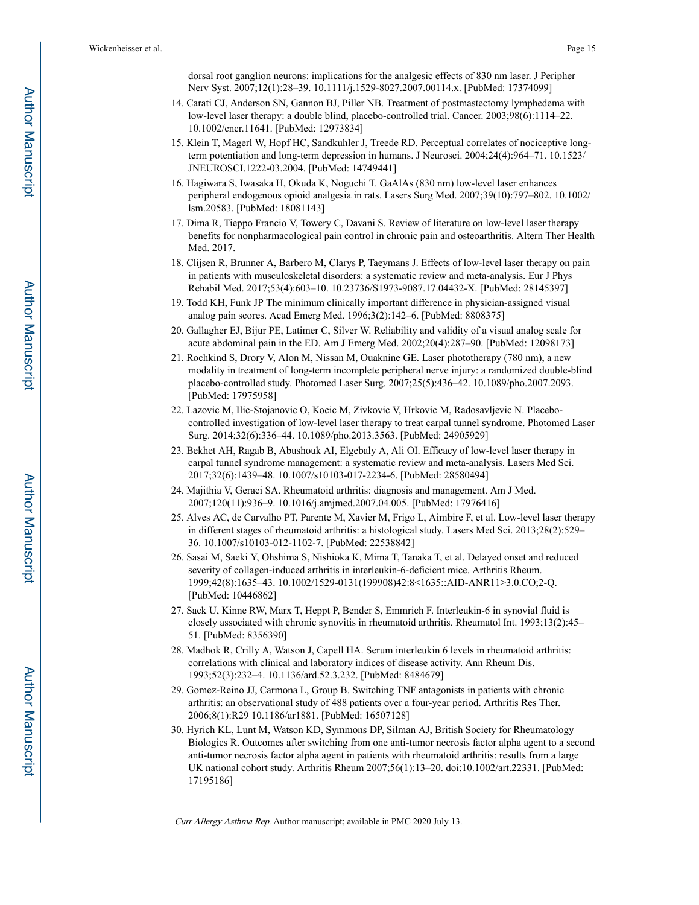dorsal root ganglion neurons: implications for the analgesic effects of 830 nm laser. J Peripher Nerv Syst. 2007;12(1):28–39. 10.1111/j.1529-8027.2007.00114.x. [PubMed: 17374099]

- 14. Carati CJ, Anderson SN, Gannon BJ, Piller NB. Treatment of postmastectomy lymphedema with low-level laser therapy: a double blind, placebo-controlled trial. Cancer. 2003;98(6):1114–22. 10.1002/cncr.11641. [PubMed: 12973834]
- 15. Klein T, Magerl W, Hopf HC, Sandkuhler J, Treede RD. Perceptual correlates of nociceptive longterm potentiation and long-term depression in humans. J Neurosci. 2004;24(4):964–71. 10.1523/ JNEUROSCI.1222-03.2004. [PubMed: 14749441]
- 16. Hagiwara S, Iwasaka H, Okuda K, Noguchi T. GaAlAs (830 nm) low-level laser enhances peripheral endogenous opioid analgesia in rats. Lasers Surg Med. 2007;39(10):797–802. 10.1002/ lsm.20583. [PubMed: 18081143]
- 17. Dima R, Tieppo Francio V, Towery C, Davani S. Review of literature on low-level laser therapy benefits for nonpharmacological pain control in chronic pain and osteoarthritis. Altern Ther Health Med. 2017.
- 18. Clijsen R, Brunner A, Barbero M, Clarys P, Taeymans J. Effects of low-level laser therapy on pain in patients with musculoskeletal disorders: a systematic review and meta-analysis. Eur J Phys Rehabil Med. 2017;53(4):603–10. 10.23736/S1973-9087.17.04432-X. [PubMed: 28145397]
- 19. Todd KH, Funk JP The minimum clinically important difference in physician-assigned visual analog pain scores. Acad Emerg Med. 1996;3(2):142–6. [PubMed: 8808375]
- 20. Gallagher EJ, Bijur PE, Latimer C, Silver W. Reliability and validity of a visual analog scale for acute abdominal pain in the ED. Am J Emerg Med. 2002;20(4):287–90. [PubMed: 12098173]
- 21. Rochkind S, Drory V, Alon M, Nissan M, Ouaknine GE. Laser phototherapy (780 nm), a new modality in treatment of long-term incomplete peripheral nerve injury: a randomized double-blind placebo-controlled study. Photomed Laser Surg. 2007;25(5):436–42. 10.1089/pho.2007.2093. [PubMed: 17975958]
- 22. Lazovic M, Ilic-Stojanovic O, Kocic M, Zivkovic V, Hrkovic M, Radosavljevic N. Placebocontrolled investigation of low-level laser therapy to treat carpal tunnel syndrome. Photomed Laser Surg. 2014;32(6):336–44. 10.1089/pho.2013.3563. [PubMed: 24905929]
- 23. Bekhet AH, Ragab B, Abushouk AI, Elgebaly A, Ali OI. Efficacy of low-level laser therapy in carpal tunnel syndrome management: a systematic review and meta-analysis. Lasers Med Sci. 2017;32(6):1439–48. 10.1007/s10103-017-2234-6. [PubMed: 28580494]
- 24. Majithia V, Geraci SA. Rheumatoid arthritis: diagnosis and management. Am J Med. 2007;120(11):936–9. 10.1016/j.amjmed.2007.04.005. [PubMed: 17976416]
- 25. Alves AC, de Carvalho PT, Parente M, Xavier M, Frigo L, Aimbire F, et al. Low-level laser therapy in different stages of rheumatoid arthritis: a histological study. Lasers Med Sci. 2013;28(2):529– 36. 10.1007/s10103-012-1102-7. [PubMed: 22538842]
- 26. Sasai M, Saeki Y, Ohshima S, Nishioka K, Mima T, Tanaka T, et al. Delayed onset and reduced severity of collagen-induced arthritis in interleukin-6-deficient mice. Arthritis Rheum. 1999;42(8):1635–43. 10.1002/1529-0131(199908)42:8<1635::AID-ANR11>3.0.CO;2-Q. [PubMed: 10446862]
- 27. Sack U, Kinne RW, Marx T, Heppt P, Bender S, Emmrich F. Interleukin-6 in synovial fluid is closely associated with chronic synovitis in rheumatoid arthritis. Rheumatol Int. 1993;13(2):45– 51. [PubMed: 8356390]
- 28. Madhok R, Crilly A, Watson J, Capell HA. Serum interleukin 6 levels in rheumatoid arthritis: correlations with clinical and laboratory indices of disease activity. Ann Rheum Dis. 1993;52(3):232–4. 10.1136/ard.52.3.232. [PubMed: 8484679]
- 29. Gomez-Reino JJ, Carmona L, Group B. Switching TNF antagonists in patients with chronic arthritis: an observational study of 488 patients over a four-year period. Arthritis Res Ther. 2006;8(1):R29 10.1186/ar1881. [PubMed: 16507128]
- 30. Hyrich KL, Lunt M, Watson KD, Symmons DP, Silman AJ, British Society for Rheumatology Biologics R. Outcomes after switching from one anti-tumor necrosis factor alpha agent to a second anti-tumor necrosis factor alpha agent in patients with rheumatoid arthritis: results from a large UK national cohort study. Arthritis Rheum 2007;56(1):13–20. doi:10.1002/art.22331. [PubMed: 17195186]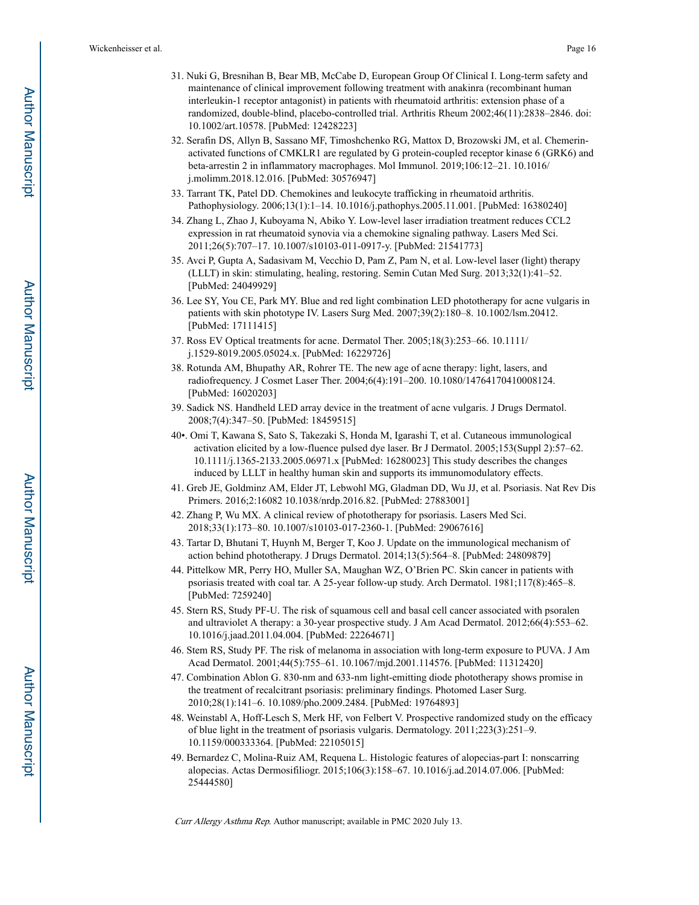- 31. Nuki G, Bresnihan B, Bear MB, McCabe D, European Group Of Clinical I. Long-term safety and maintenance of clinical improvement following treatment with anakinra (recombinant human interleukin-1 receptor antagonist) in patients with rheumatoid arthritis: extension phase of a randomized, double-blind, placebo-controlled trial. Arthritis Rheum 2002;46(11):2838–2846. doi: 10.1002/art.10578. [PubMed: 12428223]
- 32. Serafin DS, Allyn B, Sassano MF, Timoshchenko RG, Mattox D, Brozowski JM, et al. Chemerinactivated functions of CMKLR1 are regulated by G protein-coupled receptor kinase 6 (GRK6) and beta-arrestin 2 in inflammatory macrophages. Mol Immunol. 2019;106:12–21. 10.1016/ j.molimm.2018.12.016. [PubMed: 30576947]
- 33. Tarrant TK, Patel DD. Chemokines and leukocyte trafficking in rheumatoid arthritis. Pathophysiology. 2006;13(1):1–14. 10.1016/j.pathophys.2005.11.001. [PubMed: 16380240]
- 34. Zhang L, Zhao J, Kuboyama N, Abiko Y. Low-level laser irradiation treatment reduces CCL2 expression in rat rheumatoid synovia via a chemokine signaling pathway. Lasers Med Sci. 2011;26(5):707–17. 10.1007/s10103-011-0917-y. [PubMed: 21541773]
- 35. Avci P, Gupta A, Sadasivam M, Vecchio D, Pam Z, Pam N, et al. Low-level laser (light) therapy (LLLT) in skin: stimulating, healing, restoring. Semin Cutan Med Surg. 2013;32(1):41–52. [PubMed: 24049929]
- 36. Lee SY, You CE, Park MY. Blue and red light combination LED phototherapy for acne vulgaris in patients with skin phototype IV. Lasers Surg Med. 2007;39(2):180–8. 10.1002/lsm.20412. [PubMed: 17111415]
- 37. Ross EV Optical treatments for acne. Dermatol Ther. 2005;18(3):253–66. 10.1111/ j.1529-8019.2005.05024.x. [PubMed: 16229726]
- 38. Rotunda AM, Bhupathy AR, Rohrer TE. The new age of acne therapy: light, lasers, and radiofrequency. J Cosmet Laser Ther. 2004;6(4):191–200. 10.1080/14764170410008124. [PubMed: 16020203]
- 39. Sadick NS. Handheld LED array device in the treatment of acne vulgaris. J Drugs Dermatol. 2008;7(4):347–50. [PubMed: 18459515]
- 40•. Omi T, Kawana S, Sato S, Takezaki S, Honda M, Igarashi T, et al. Cutaneous immunological activation elicited by a low-fluence pulsed dye laser. Br J Dermatol. 2005;153(Suppl 2):57–62. 10.1111/j.1365-2133.2005.06971.x [PubMed: 16280023] This study describes the changes induced by LLLT in healthy human skin and supports its immunomodulatory effects.
- 41. Greb JE, Goldminz AM, Elder JT, Lebwohl MG, Gladman DD, Wu JJ, et al. Psoriasis. Nat Rev Dis Primers. 2016;2:16082 10.1038/nrdp.2016.82. [PubMed: 27883001]
- 42. Zhang P, Wu MX. A clinical review of phototherapy for psoriasis. Lasers Med Sci. 2018;33(1):173–80. 10.1007/s10103-017-2360-1. [PubMed: 29067616]
- 43. Tartar D, Bhutani T, Huynh M, Berger T, Koo J. Update on the immunological mechanism of action behind phototherapy. J Drugs Dermatol. 2014;13(5):564–8. [PubMed: 24809879]
- 44. Pittelkow MR, Perry HO, Muller SA, Maughan WZ, O'Brien PC. Skin cancer in patients with psoriasis treated with coal tar. A 25-year follow-up study. Arch Dermatol. 1981;117(8):465–8. [PubMed: 7259240]
- 45. Stern RS, Study PF-U. The risk of squamous cell and basal cell cancer associated with psoralen and ultraviolet A therapy: a 30-year prospective study. J Am Acad Dermatol. 2012;66(4):553–62. 10.1016/j.jaad.2011.04.004. [PubMed: 22264671]
- 46. Stem RS, Study PF. The risk of melanoma in association with long-term exposure to PUVA. J Am Acad Dermatol. 2001;44(5):755–61. 10.1067/mjd.2001.114576. [PubMed: 11312420]
- 47. Combination Ablon G. 830-nm and 633-nm light-emitting diode phototherapy shows promise in the treatment of recalcitrant psoriasis: preliminary findings. Photomed Laser Surg. 2010;28(1):141–6. 10.1089/pho.2009.2484. [PubMed: 19764893]
- 48. Weinstabl A, Hoff-Lesch S, Merk HF, von Felbert V. Prospective randomized study on the efficacy of blue light in the treatment of psoriasis vulgaris. Dermatology. 2011;223(3):251–9. 10.1159/000333364. [PubMed: 22105015]
- 49. Bernardez C, Molina-Ruiz AM, Requena L. Histologic features of alopecias-part I: nonscarring alopecias. Actas Dermosifiliogr. 2015;106(3):158–67. 10.1016/j.ad.2014.07.006. [PubMed: 25444580]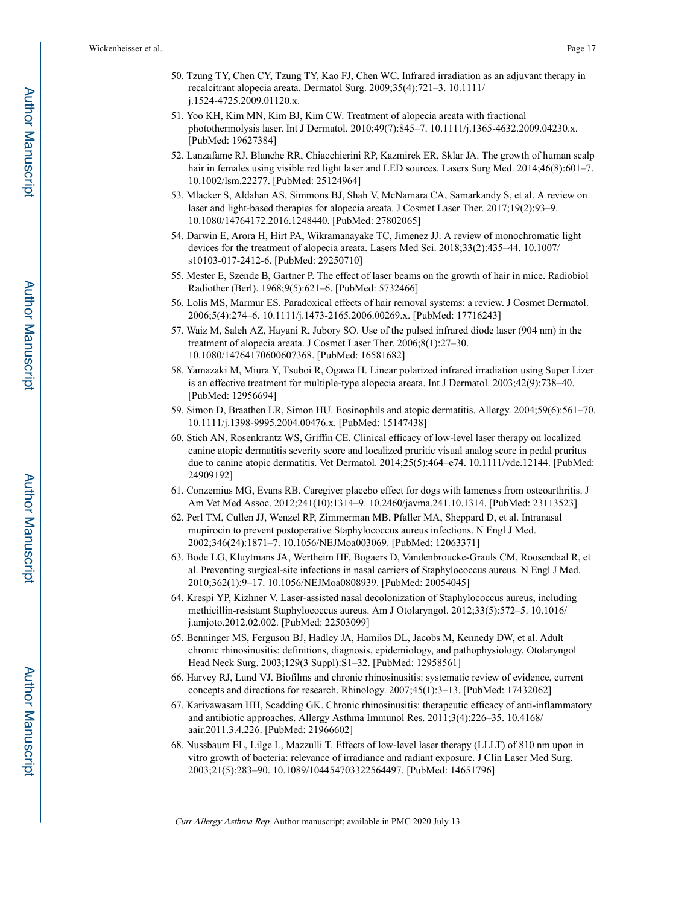- 50. Tzung TY, Chen CY, Tzung TY, Kao FJ, Chen WC. Infrared irradiation as an adjuvant therapy in recalcitrant alopecia areata. Dermatol Surg. 2009;35(4):721–3. 10.1111/ j.1524-4725.2009.01120.x.
- 51. Yoo KH, Kim MN, Kim BJ, Kim CW. Treatment of alopecia areata with fractional photothermolysis laser. Int J Dermatol. 2010;49(7):845–7. 10.1111/j.1365-4632.2009.04230.x. [PubMed: 19627384]
- 52. Lanzafame RJ, Blanche RR, Chiacchierini RP, Kazmirek ER, Sklar JA. The growth of human scalp hair in females using visible red light laser and LED sources. Lasers Surg Med. 2014;46(8):601–7. 10.1002/lsm.22277. [PubMed: 25124964]
- 53. Mlacker S, Aldahan AS, Simmons BJ, Shah V, McNamara CA, Samarkandy S, et al. A review on laser and light-based therapies for alopecia areata. J Cosmet Laser Ther. 2017;19(2):93–9. 10.1080/14764172.2016.1248440. [PubMed: 27802065]
- 54. Darwin E, Arora H, Hirt PA, Wikramanayake TC, Jimenez JJ. A review of monochromatic light devices for the treatment of alopecia areata. Lasers Med Sci. 2018;33(2):435–44. 10.1007/ s10103-017-2412-6. [PubMed: 29250710]
- 55. Mester E, Szende B, Gartner P. The effect of laser beams on the growth of hair in mice. Radiobiol Radiother (Berl). 1968;9(5):621–6. [PubMed: 5732466]
- 56. Lolis MS, Marmur ES. Paradoxical effects of hair removal systems: a review. J Cosmet Dermatol. 2006;5(4):274–6. 10.1111/j.1473-2165.2006.00269.x. [PubMed: 17716243]
- 57. Waiz M, Saleh AZ, Hayani R, Jubory SO. Use of the pulsed infrared diode laser (904 nm) in the treatment of alopecia areata. J Cosmet Laser Ther. 2006;8(1):27–30. 10.1080/14764170600607368. [PubMed: 16581682]
- 58. Yamazaki M, Miura Y, Tsuboi R, Ogawa H. Linear polarized infrared irradiation using Super Lizer is an effective treatment for multiple-type alopecia areata. Int J Dermatol. 2003;42(9):738–40. [PubMed: 12956694]
- 59. Simon D, Braathen LR, Simon HU. Eosinophils and atopic dermatitis. Allergy. 2004;59(6):561–70. 10.1111/j.1398-9995.2004.00476.x. [PubMed: 15147438]
- 60. Stich AN, Rosenkrantz WS, Griffin CE. Clinical efficacy of low-level laser therapy on localized canine atopic dermatitis severity score and localized pruritic visual analog score in pedal pruritus due to canine atopic dermatitis. Vet Dermatol. 2014;25(5):464–e74. 10.1111/vde.12144. [PubMed: 24909192]
- 61. Conzemius MG, Evans RB. Caregiver placebo effect for dogs with lameness from osteoarthritis. J Am Vet Med Assoc. 2012;241(10):1314–9. 10.2460/javma.241.10.1314. [PubMed: 23113523]
- 62. Perl TM, Cullen JJ, Wenzel RP, Zimmerman MB, Pfaller MA, Sheppard D, et al. Intranasal mupirocin to prevent postoperative Staphylococcus aureus infections. N Engl J Med. 2002;346(24):1871–7. 10.1056/NEJMoa003069. [PubMed: 12063371]
- 63. Bode LG, Kluytmans JA, Wertheim HF, Bogaers D, Vandenbroucke-Grauls CM, Roosendaal R, et al. Preventing surgical-site infections in nasal carriers of Staphylococcus aureus. N Engl J Med. 2010;362(1):9–17. 10.1056/NEJMoa0808939. [PubMed: 20054045]
- 64. Krespi YP, Kizhner V. Laser-assisted nasal decolonization of Staphylococcus aureus, including methicillin-resistant Staphylococcus aureus. Am J Otolaryngol. 2012;33(5):572–5. 10.1016/ j.amjoto.2012.02.002. [PubMed: 22503099]
- 65. Benninger MS, Ferguson BJ, Hadley JA, Hamilos DL, Jacobs M, Kennedy DW, et al. Adult chronic rhinosinusitis: definitions, diagnosis, epidemiology, and pathophysiology. Otolaryngol Head Neck Surg. 2003;129(3 Suppl):S1–32. [PubMed: 12958561]
- 66. Harvey RJ, Lund VJ. Biofilms and chronic rhinosinusitis: systematic review of evidence, current concepts and directions for research. Rhinology. 2007;45(1):3–13. [PubMed: 17432062]
- 67. Kariyawasam HH, Scadding GK. Chronic rhinosinusitis: therapeutic efficacy of anti-inflammatory and antibiotic approaches. Allergy Asthma Immunol Res. 2011;3(4):226–35. 10.4168/ aair.2011.3.4.226. [PubMed: 21966602]
- 68. Nussbaum EL, Lilge L, Mazzulli T. Effects of low-level laser therapy (LLLT) of 810 nm upon in vitro growth of bacteria: relevance of irradiance and radiant exposure. J Clin Laser Med Surg. 2003;21(5):283–90. 10.1089/104454703322564497. [PubMed: 14651796]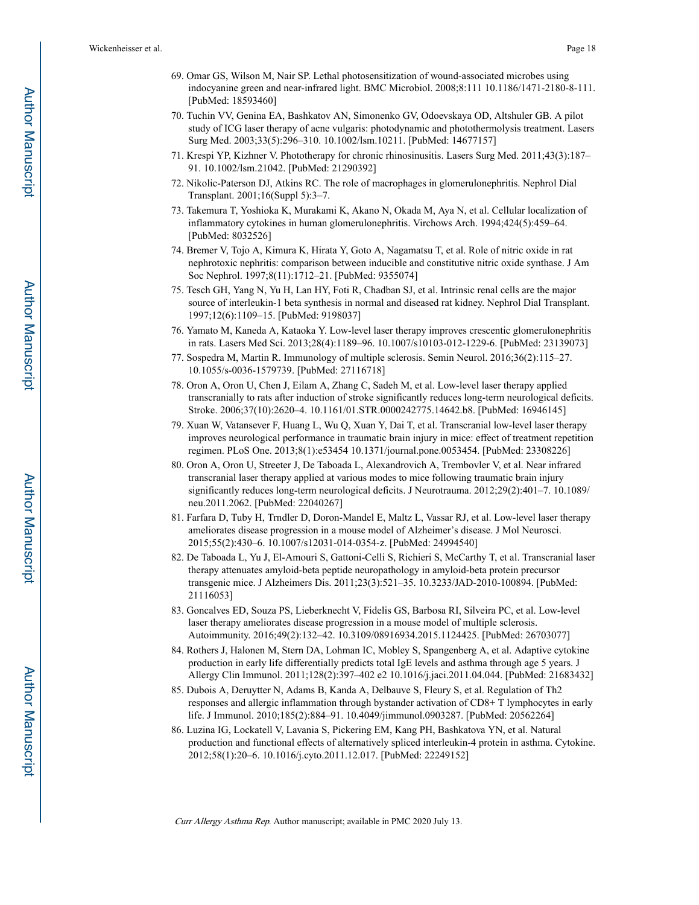- 69. Omar GS, Wilson M, Nair SP. Lethal photosensitization of wound-associated microbes using indocyanine green and near-infrared light. BMC Microbiol. 2008;8:111 10.1186/1471-2180-8-111. [PubMed: 18593460]
- 70. Tuchin VV, Genina EA, Bashkatov AN, Simonenko GV, Odoevskaya OD, Altshuler GB. A pilot study of ICG laser therapy of acne vulgaris: photodynamic and photothermolysis treatment. Lasers Surg Med. 2003;33(5):296–310. 10.1002/lsm.10211. [PubMed: 14677157]
- 71. Krespi YP, Kizhner V. Phototherapy for chronic rhinosinusitis. Lasers Surg Med. 2011;43(3):187– 91. 10.1002/lsm.21042. [PubMed: 21290392]
- 72. Nikolic-Paterson DJ, Atkins RC. The role of macrophages in glomerulonephritis. Nephrol Dial Transplant. 2001;16(Suppl 5):3–7.
- 73. Takemura T, Yoshioka K, Murakami K, Akano N, Okada M, Aya N, et al. Cellular localization of inflammatory cytokines in human glomerulonephritis. Virchows Arch. 1994;424(5):459–64. [PubMed: 8032526]
- 74. Bremer V, Tojo A, Kimura K, Hirata Y, Goto A, Nagamatsu T, et al. Role of nitric oxide in rat nephrotoxic nephritis: comparison between inducible and constitutive nitric oxide synthase. J Am Soc Nephrol. 1997;8(11):1712–21. [PubMed: 9355074]
- 75. Tesch GH, Yang N, Yu H, Lan HY, Foti R, Chadban SJ, et al. Intrinsic renal cells are the major source of interleukin-1 beta synthesis in normal and diseased rat kidney. Nephrol Dial Transplant. 1997;12(6):1109–15. [PubMed: 9198037]
- 76. Yamato M, Kaneda A, Kataoka Y. Low-level laser therapy improves crescentic glomerulonephritis in rats. Lasers Med Sci. 2013;28(4):1189–96. 10.1007/s10103-012-1229-6. [PubMed: 23139073]
- 77. Sospedra M, Martin R. Immunology of multiple sclerosis. Semin Neurol. 2016;36(2):115–27. 10.1055/s-0036-1579739. [PubMed: 27116718]
- 78. Oron A, Oron U, Chen J, Eilam A, Zhang C, Sadeh M, et al. Low-level laser therapy applied transcranially to rats after induction of stroke significantly reduces long-term neurological deficits. Stroke. 2006;37(10):2620–4. 10.1161/01.STR.0000242775.14642.b8. [PubMed: 16946145]
- 79. Xuan W, Vatansever F, Huang L, Wu Q, Xuan Y, Dai T, et al. Transcranial low-level laser therapy improves neurological performance in traumatic brain injury in mice: effect of treatment repetition regimen. PLoS One. 2013;8(1):e53454 10.1371/journal.pone.0053454. [PubMed: 23308226]
- 80. Oron A, Oron U, Streeter J, De Taboada L, Alexandrovich A, Trembovler V, et al. Near infrared transcranial laser therapy applied at various modes to mice following traumatic brain injury significantly reduces long-term neurological deficits. J Neurotrauma. 2012;29(2):401–7. 10.1089/ neu.2011.2062. [PubMed: 22040267]
- 81. Farfara D, Tuby H, Trndler D, Doron-Mandel E, Maltz L, Vassar RJ, et al. Low-level laser therapy ameliorates disease progression in a mouse model of Alzheimer's disease. J Mol Neurosci. 2015;55(2):430–6. 10.1007/s12031-014-0354-z. [PubMed: 24994540]
- 82. De Taboada L, Yu J, El-Amouri S, Gattoni-Celli S, Richieri S, McCarthy T, et al. Transcranial laser therapy attenuates amyloid-beta peptide neuropathology in amyloid-beta protein precursor transgenic mice. J Alzheimers Dis. 2011;23(3):521–35. 10.3233/JAD-2010-100894. [PubMed: 21116053]
- 83. Goncalves ED, Souza PS, Lieberknecht V, Fidelis GS, Barbosa RI, Silveira PC, et al. Low-level laser therapy ameliorates disease progression in a mouse model of multiple sclerosis. Autoimmunity. 2016;49(2):132–42. 10.3109/08916934.2015.1124425. [PubMed: 26703077]
- 84. Rothers J, Halonen M, Stern DA, Lohman IC, Mobley S, Spangenberg A, et al. Adaptive cytokine production in early life differentially predicts total IgE levels and asthma through age 5 years. J Allergy Clin Immunol. 2011;128(2):397–402 e2 10.1016/j.jaci.2011.04.044. [PubMed: 21683432]
- 85. Dubois A, Deruytter N, Adams B, Kanda A, Delbauve S, Fleury S, et al. Regulation of Th2 responses and allergic inflammation through bystander activation of CD8+ T lymphocytes in early life. J Immunol. 2010;185(2):884–91. 10.4049/jimmunol.0903287. [PubMed: 20562264]
- 86. Luzina IG, Lockatell V, Lavania S, Pickering EM, Kang PH, Bashkatova YN, et al. Natural production and functional effects of alternatively spliced interleukin-4 protein in asthma. Cytokine. 2012;58(1):20–6. 10.1016/j.cyto.2011.12.017. [PubMed: 22249152]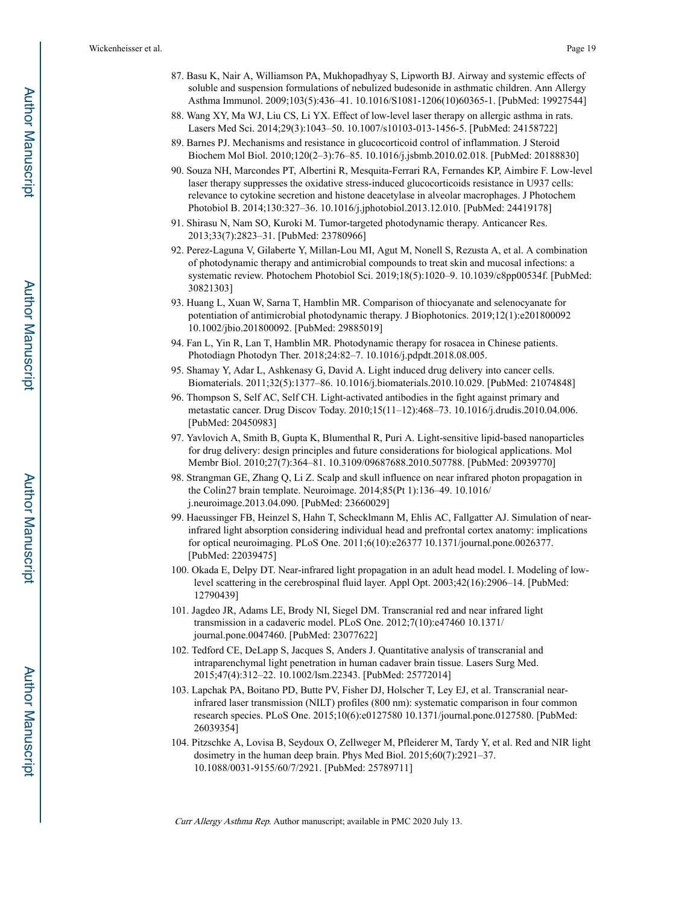- 87. Basu K, Nair A, Williamson PA, Mukhopadhyay S, Lipworth BJ. Airway and systemic effects of soluble and suspension formulations of nebulized budesonide in asthmatic children. Ann Allergy Asthma Immunol. 2009;103(5):436–41. 10.1016/S1081-1206(10)60365-1. [PubMed: 19927544]
- 88. Wang XY, Ma WJ, Liu CS, Li YX. Effect of low-level laser therapy on allergic asthma in rats. Lasers Med Sci. 2014;29(3):1043–50. 10.1007/s10103-013-1456-5. [PubMed: 24158722]
- 89. Barnes PJ. Mechanisms and resistance in glucocorticoid control of inflammation. J Steroid Biochem Mol Biol. 2010;120(2–3):76–85. 10.1016/j.jsbmb.2010.02.018. [PubMed: 20188830]
- 90. Souza NH, Marcondes PT, Albertini R, Mesquita-Ferrari RA, Fernandes KP, Aimbire F. Low-level laser therapy suppresses the oxidative stress-induced glucocorticoids resistance in U937 cells: relevance to cytokine secretion and histone deacetylase in alveolar macrophages. J Photochem Photobiol B. 2014;130:327–36. 10.1016/j.jphotobiol.2013.12.010. [PubMed: 24419178]
- 91. Shirasu N, Nam SO, Kuroki M. Tumor-targeted photodynamic therapy. Anticancer Res. 2013;33(7):2823–31. [PubMed: 23780966]
- 92. Perez-Laguna V, Gilaberte Y, Millan-Lou MI, Agut M, Nonell S, Rezusta A, et al. A combination of photodynamic therapy and antimicrobial compounds to treat skin and mucosal infections: a systematic review. Photochem Photobiol Sci. 2019;18(5):1020–9. 10.1039/c8pp00534f. [PubMed: 30821303]
- 93. Huang L, Xuan W, Sarna T, Hamblin MR. Comparison of thiocyanate and selenocyanate for potentiation of antimicrobial photodynamic therapy. J Biophotonics. 2019;12(1):e201800092 10.1002/jbio.201800092. [PubMed: 29885019]
- 94. Fan L, Yin R, Lan T, Hamblin MR. Photodynamic therapy for rosacea in Chinese patients. Photodiagn Photodyn Ther. 2018;24:82–7. 10.1016/j.pdpdt.2018.08.005.
- 95. Shamay Y, Adar L, Ashkenasy G, David A. Light induced drug delivery into cancer cells. Biomaterials. 2011;32(5):1377–86. 10.1016/j.biomaterials.2010.10.029. [PubMed: 21074848]
- 96. Thompson S, Self AC, Self CH. Light-activated antibodies in the fight against primary and metastatic cancer. Drug Discov Today. 2010;15(11–12):468–73. 10.1016/j.drudis.2010.04.006. [PubMed: 20450983]
- 97. Yavlovich A, Smith B, Gupta K, Blumenthal R, Puri A. Light-sensitive lipid-based nanoparticles for drug delivery: design principles and future considerations for biological applications. Mol Membr Biol. 2010;27(7):364–81. 10.3109/09687688.2010.507788. [PubMed: 20939770]
- 98. Strangman GE, Zhang Q, Li Z. Scalp and skull influence on near infrared photon propagation in the Colin27 brain template. Neuroimage. 2014;85(Pt 1):136–49. 10.1016/ j.neuroimage.2013.04.090. [PubMed: 23660029]
- 99. Haeussinger FB, Heinzel S, Hahn T, Schecklmann M, Ehlis AC, Fallgatter AJ. Simulation of nearinfrared light absorption considering individual head and prefrontal cortex anatomy: implications for optical neuroimaging. PLoS One. 2011;6(10):e26377 10.1371/journal.pone.0026377. [PubMed: 22039475]
- 100. Okada E, Delpy DT. Near-infrared light propagation in an adult head model. I. Modeling of lowlevel scattering in the cerebrospinal fluid layer. Appl Opt. 2003;42(16):2906–14. [PubMed: 12790439]
- 101. Jagdeo JR, Adams LE, Brody NI, Siegel DM. Transcranial red and near infrared light transmission in a cadaveric model. PLoS One. 2012;7(10):e47460 10.1371/ journal.pone.0047460. [PubMed: 23077622]
- 102. Tedford CE, DeLapp S, Jacques S, Anders J. Quantitative analysis of transcranial and intraparenchymal light penetration in human cadaver brain tissue. Lasers Surg Med. 2015;47(4):312–22. 10.1002/lsm.22343. [PubMed: 25772014]
- 103. Lapchak PA, Boitano PD, Butte PV, Fisher DJ, Holscher T, Ley EJ, et al. Transcranial nearinfrared laser transmission (NILT) profiles (800 nm): systematic comparison in four common research species. PLoS One. 2015;10(6):e0127580 10.1371/journal.pone.0127580. [PubMed: 26039354]
- 104. Pitzschke A, Lovisa B, Seydoux O, Zellweger M, Pfleiderer M, Tardy Y, et al. Red and NIR light dosimetry in the human deep brain. Phys Med Biol. 2015;60(7):2921–37. 10.1088/0031-9155/60/7/2921. [PubMed: 25789711]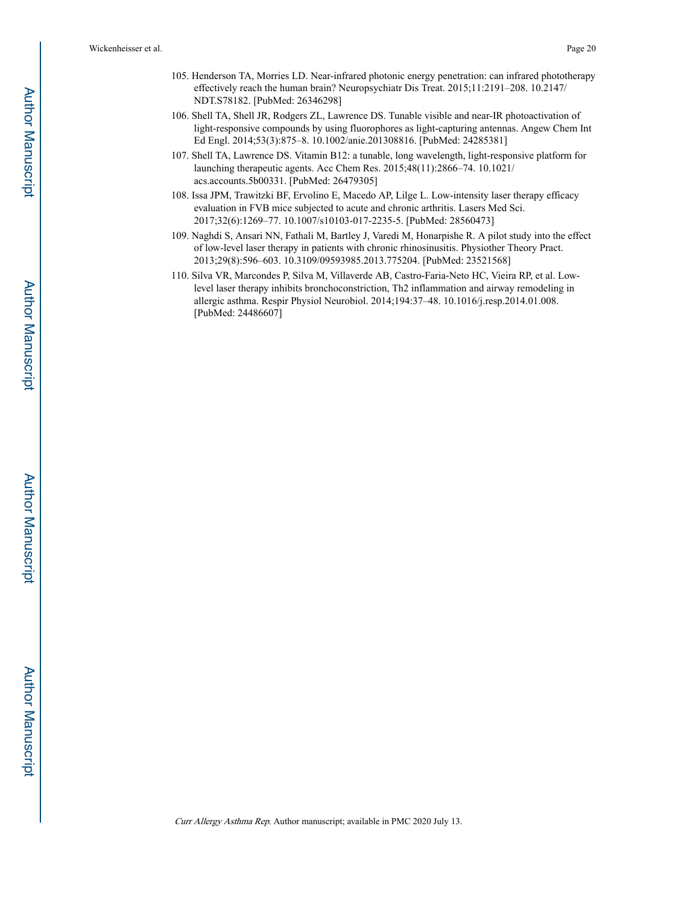- 105. Henderson TA, Morries LD. Near-infrared photonic energy penetration: can infrared phototherapy effectively reach the human brain? Neuropsychiatr Dis Treat. 2015;11:2191–208. 10.2147/ NDT.S78182. [PubMed: 26346298]
- 106. Shell TA, Shell JR, Rodgers ZL, Lawrence DS. Tunable visible and near-IR photoactivation of light-responsive compounds by using fluorophores as light-capturing antennas. Angew Chem Int Ed Engl. 2014;53(3):875–8. 10.1002/anie.201308816. [PubMed: 24285381]
- 107. Shell TA, Lawrence DS. Vitamin B12: a tunable, long wavelength, light-responsive platform for launching therapeutic agents. Acc Chem Res. 2015;48(11):2866–74. 10.1021/ acs.accounts.5b00331. [PubMed: 26479305]
- 108. Issa JPM, Trawitzki BF, Ervolino E, Macedo AP, Lilge L. Low-intensity laser therapy efficacy evaluation in FVB mice subjected to acute and chronic arthritis. Lasers Med Sci. 2017;32(6):1269–77. 10.1007/s10103-017-2235-5. [PubMed: 28560473]
- 109. Naghdi S, Ansari NN, Fathali M, Bartley J, Varedi M, Honarpishe R. A pilot study into the effect of low-level laser therapy in patients with chronic rhinosinusitis. Physiother Theory Pract. 2013;29(8):596–603. 10.3109/09593985.2013.775204. [PubMed: 23521568]
- 110. Silva VR, Marcondes P, Silva M, Villaverde AB, Castro-Faria-Neto HC, Vieira RP, et al. Lowlevel laser therapy inhibits bronchoconstriction, Th2 inflammation and airway remodeling in allergic asthma. Respir Physiol Neurobiol. 2014;194:37–48. 10.1016/j.resp.2014.01.008. [PubMed: 24486607]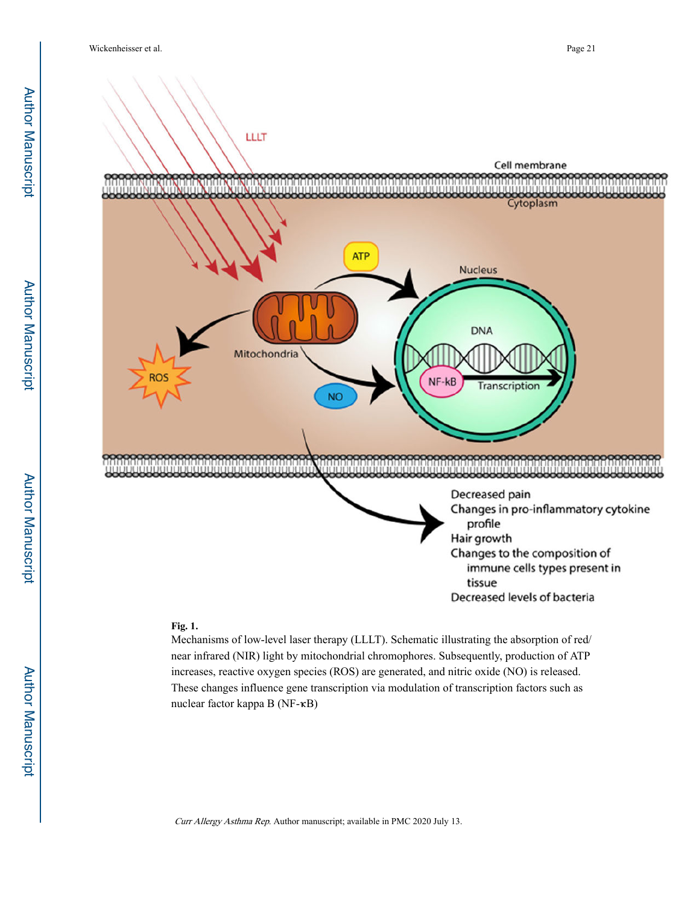

#### **Fig. 1.**

Mechanisms of low-level laser therapy (LLLT). Schematic illustrating the absorption of red/ near infrared (NIR) light by mitochondrial chromophores. Subsequently, production of ATP increases, reactive oxygen species (ROS) are generated, and nitric oxide (NO) is released. These changes influence gene transcription via modulation of transcription factors such as nuclear factor kappa B (NF-κB)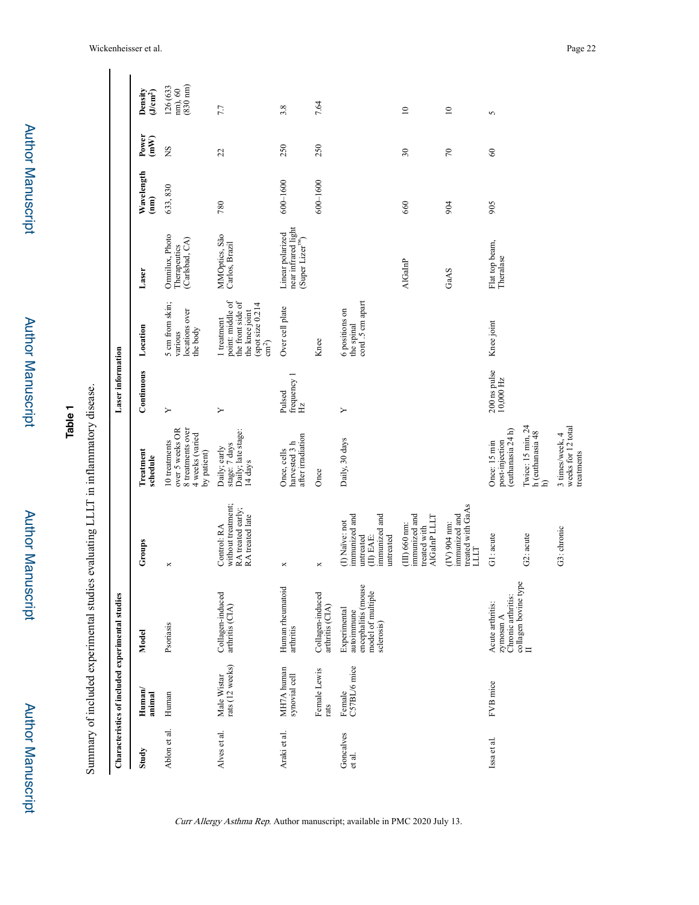|                     |                                | Summary of included experimental studies evaluating LLLT in inflammatory disease.    |                                                                                         |                                                                                         |                                          |                                                                                                              |                                                                         |                    |                      |                                           |
|---------------------|--------------------------------|--------------------------------------------------------------------------------------|-----------------------------------------------------------------------------------------|-----------------------------------------------------------------------------------------|------------------------------------------|--------------------------------------------------------------------------------------------------------------|-------------------------------------------------------------------------|--------------------|----------------------|-------------------------------------------|
|                     |                                | Characteristics of included experimental studies                                     |                                                                                         |                                                                                         | <b>Laser</b> information                 |                                                                                                              |                                                                         |                    |                      |                                           |
| Study               | Human<br>animal                | Model                                                                                | Groups                                                                                  | Treatment<br>schedule                                                                   | Continuous                               | Location                                                                                                     | Laser                                                                   | Wavelength<br>(mn) | Power<br>(mW)        | Density<br>$(J/cm2)$                      |
| Ablon et al.        | Human                          | Psoriasis                                                                            | ×                                                                                       | 8 treatments over<br>over 5 weeks OR<br>4 weeks (varied<br>10 treatments<br>by patient) | Y                                        | 5 cm from skin;<br>locations over<br>the body<br>various                                                     | Omnilux, Photo<br>Therapeutics<br>(Carlsbad, CA)                        | 633,830            | ŠN                   | $\frac{nm}{(830 \text{ nm})}$<br>126 (633 |
| Alves et al.        | Male Wistar<br>rats (12 weeks) | Collagen-induced<br>arthritis (CIA)                                                  | without treatment;<br>RA treated early;<br>RA treated late<br>Control: RA               | stage: 7 days<br>Daily; late stage:<br>Daily; early<br>14 days                          | Υ                                        | point: middle of<br>the front side of<br>spot size 0.214<br>the knee joint<br>1 treatment<br>$\text{cm}^2$ ) | MMOptics, São<br>Carlos, Brazil                                         | 780                | 22                   | 7.7                                       |
| Araki et al.        | MH7A human<br>synovial cell    | Human rheumatoid<br>arthritis                                                        | ×                                                                                       | after irradiation<br>harvested 3 h<br>Once, cells                                       | frequency $1$ $_{\mathrm{Hz}}$<br>Pulsed | Over cell plate                                                                                              | near infrared light<br>(Super Lizer <sup>ns</sup> )<br>Linear polarized | $600 - 1600$       | 250                  | 3.8                                       |
|                     | Female Lewis<br>rats           | Collagen-induced<br>arthritis (CIA)                                                  | ×                                                                                       | Once                                                                                    |                                          | Knee                                                                                                         |                                                                         | 600-1600           | 250                  | 7.64                                      |
| Goncalves<br>et al. | Female<br>C57BL/6 mice         | encephalitis (mouse<br>model of multiple<br>Experimental<br>autoimmune<br>sclerosis) | immunized and<br>immunized and<br>(I) Naïve: not<br>untreated<br>(II) EAE:<br>untreated | Daily, 30 days                                                                          | Υ                                        | cord .5 cm apart<br>6 positions on<br>the spinal                                                             |                                                                         |                    |                      |                                           |
|                     |                                |                                                                                      | immunized and<br>AlGaInP LLLT<br>$(III)$ 660 nm:<br>treated with                        |                                                                                         |                                          |                                                                                                              | <b>AlGaInP</b>                                                          | 660                | $30\,$               | $\supseteq$                               |
|                     |                                |                                                                                      | treated with GaAs<br>immunized and<br>$(IV)$ 904 nm:<br>LLLT                            |                                                                                         |                                          |                                                                                                              | GaAS                                                                    | 904                | $\approx$            | $\approx$                                 |
| Issa et al.         | FVB mice                       | Chronic arthritis:<br>Acute arthritis:<br>zymosan A                                  | G1: acute                                                                               | (euthanasia 24 h)<br>post-injection<br>Once: 15 min                                     | 200 ns pulse<br>$10,000$ Hz              | Knee joint                                                                                                   | Flat top beam,<br>Theralase                                             | 905                | $\mbox{ }_{\!\!\!6}$ | 5                                         |
|                     |                                | collagen bovine type $\Pi$                                                           | G2: acute                                                                               | Twice: 15 min, 24<br>h (euthanasia 48<br>$\widehat{=}$                                  |                                          |                                                                                                              |                                                                         |                    |                      |                                           |
|                     |                                |                                                                                      | G3: chronic                                                                             | weeks for 12 total<br>3 times/week, 4<br>treatments                                     |                                          |                                                                                                              |                                                                         |                    |                      |                                           |

Wickenheisser et al. Page 22

 $\overline{\phantom{a}}$ 

Author Manuscript

**Author Manuscript** 

**Table 1**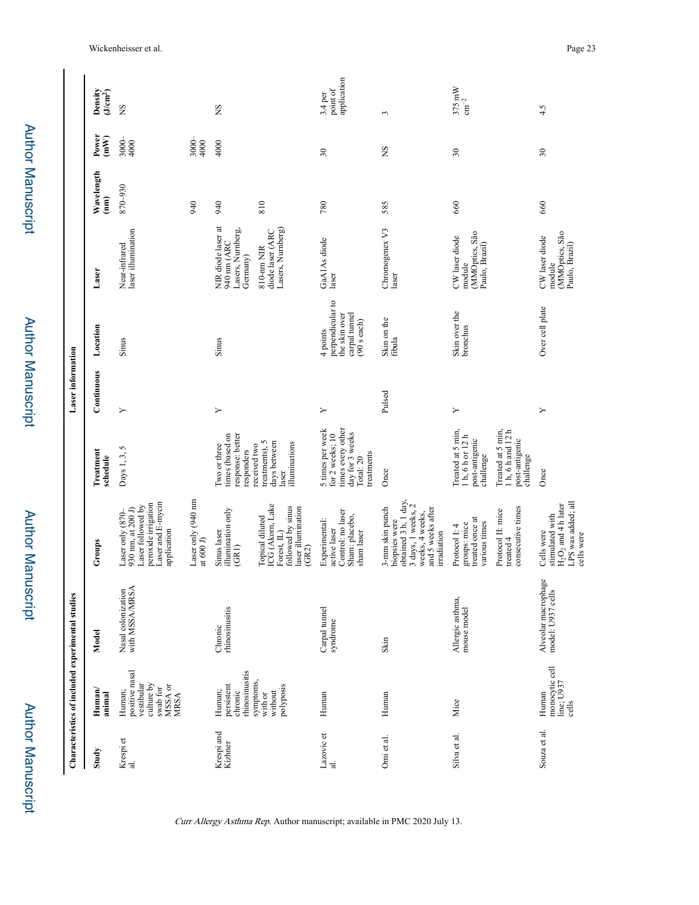|                       | Characteristics of included experimental studies                                    |                                          |                                                                                                                                                   |                                                                                                            | <b>Laser</b> information |                                                                                 |                                                                   |                              |                         |                                    |
|-----------------------|-------------------------------------------------------------------------------------|------------------------------------------|---------------------------------------------------------------------------------------------------------------------------------------------------|------------------------------------------------------------------------------------------------------------|--------------------------|---------------------------------------------------------------------------------|-------------------------------------------------------------------|------------------------------|-------------------------|------------------------------------|
| Study                 | $H$ uman $/$<br>animal                                                              | Model                                    | Groups                                                                                                                                            | <b>Treatment</b><br>schedule                                                                               | Continuous               | Location                                                                        | Laser                                                             | Wavelength<br>$\binom{m}{n}$ | Power<br>$\binom{m}{k}$ | Density<br>(J/cm <sup>2</sup> )    |
| Krespi et<br>al.      | positive nasal<br>vestibular<br>culture by<br>MSSA or<br>MRSA<br>swab for<br>Human; | with MSSA/MRSA<br>Nasal colonization     | Laser and E-mycin<br>peroxide irrigation<br>Laser followed by<br>930 nm, at 200 J)<br>Laser only (870-<br>application                             | 5<br>Days 1, 3,                                                                                            | ≻                        | Sinus                                                                           | laser illumination<br>Near-infrared                               | 870-930                      | $3000 -$<br>4000        | <b>SN</b>                          |
|                       |                                                                                     |                                          | Laser only (940 nm<br>at $600$ J)                                                                                                                 |                                                                                                            |                          |                                                                                 |                                                                   | 940                          | 3000-<br>4000           |                                    |
| Krespi and<br>Kizhner | rhinosinusitis<br>persistent<br>Human;<br>chronic                                   | rhinosinusitis<br>Chronic                | illumination only<br>Sinus laser<br>(GRI)                                                                                                         | times (based on<br>response: better<br>I'vo or three<br>responders                                         | Υ                        | Sinus                                                                           | NIR diode laser at<br>Lasers, Numberg,<br>940 nm (ARC<br>Germany) | 940                          | 4000                    | SN                                 |
|                       | symptoms,<br>polyposis<br>with or<br>without                                        |                                          | $\begin{array}{c} \text{Topical diluted}\\ \text{ICG (Akom, Lake} \end{array}$<br>followed by sinus<br>laser illumination<br>Forest, IL)<br>(GR2) | treatments), 5<br>days between<br>illuminations<br>received two<br>laser                                   |                          |                                                                                 | Lasers, Numberg)<br>diode laser (ARC<br>810-nm NIR                | 810                          |                         |                                    |
| Lazovic et<br>ಸ       | Human                                                                               | Carpal tunnel<br>syndrome                | Control: no laser<br>Sham: placebo,<br>Experimental:<br>active laser<br>sham laser                                                                | times every other<br>5 times per week<br>day for $3$ weeks<br>Total: $20$<br>for 2 weeks; 10<br>treatments | Υ                        | perpendicular to<br>the skin over<br>carpal tunnel<br>$(90$ s each)<br>4 points | GaA1As diode<br>laser                                             | 780                          | 30                      | application<br>point of<br>3.4 per |
| Omi et al.            | Human                                                                               | Skin                                     | obtained 3 h, 1 day,<br>3 days, 1 weeks, 2<br>weeks, 4 weeks,<br>and 5 weeks after<br>3-mm skin punch<br>biopsies were<br>irradiation             | Once                                                                                                       | Pulsed                   | Skin on the<br>fibula                                                           | Chromogenex <sub>V3</sub><br>laser                                | 585                          | SN                      | 3                                  |
| Silva et al.          | Mice                                                                                | Allergic asthma,<br>mouse model          | treated once at<br>various times<br>groups: mice<br>Protocol I: 4                                                                                 | Treated at 5 min,<br>1 h, 6 h or 12 h<br>post-antigenic<br>challenge                                       | ≻                        | Skin over the<br>bronchus                                                       | (MMOptics, São<br>CW laser diode<br>Paulo, Brazil)<br>module      | 660                          | $30\,$                  | $375 \text{ mW}$<br>$\rm cm^{-2}$  |
|                       |                                                                                     |                                          | consecutive times<br>Protocol II: mice<br>treated 4                                                                                               | Treated at 5 min,<br>1 h, 6 h and 12 h<br>post-antigenic<br>challenge                                      |                          |                                                                                 |                                                                   |                              |                         |                                    |
| Souza et al.          | monocytic cell<br>line; U937<br>Human<br>cells                                      | Alveolar macrophage<br>model: U937 cells | LPS was added; all<br>$H_2O_2$ and 4 h later<br>stimulated with<br>Cells were<br>cells were                                                       | Once                                                                                                       | ≻                        | Over cell plate                                                                 | MMOptics, São<br>CW laser diode<br>Paulo, Brazil)<br>module       | 660                          | 30                      | 4.5                                |

Author Manuscript

**Author Manuscript**